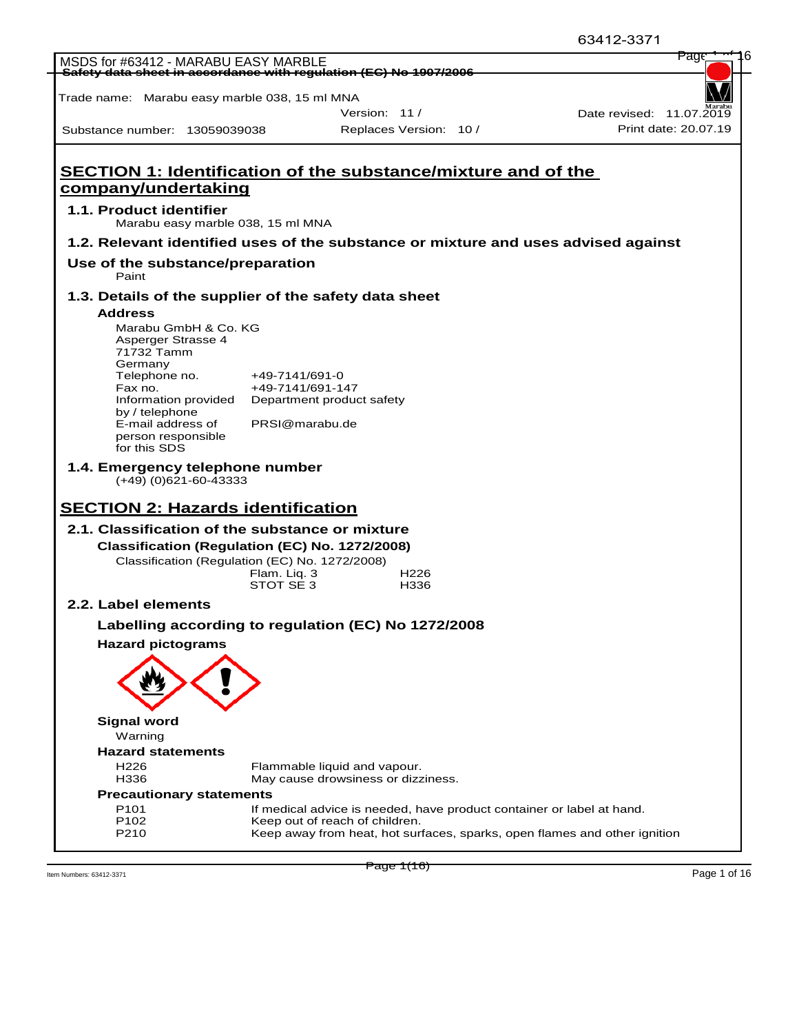|                                                     |                                                                |                                                                                    | י <i>ו</i> כט-∠ו ו <i>-</i> כט |
|-----------------------------------------------------|----------------------------------------------------------------|------------------------------------------------------------------------------------|--------------------------------|
| MSDS for #63412 - MARABU EASY MARBLE                |                                                                |                                                                                    | Page                           |
|                                                     |                                                                | <b>- Safety data sheet in accordance with regulation (EC) No 1907/2006</b>         |                                |
| Trade name: Marabu easy marble 038, 15 ml MNA       |                                                                |                                                                                    |                                |
|                                                     |                                                                | Version: 11/                                                                       | Date revised: 11.07.2019       |
| Substance number: 13059039038                       |                                                                | Replaces Version: 10 /                                                             | Print date: 20.07.19           |
|                                                     |                                                                |                                                                                    |                                |
|                                                     |                                                                | SECTION 1: Identification of the substance/mixture and of the                      |                                |
| company/undertaking                                 |                                                                |                                                                                    |                                |
|                                                     |                                                                |                                                                                    |                                |
| 1.1. Product identifier                             | Marabu easy marble 038, 15 ml MNA                              |                                                                                    |                                |
|                                                     |                                                                | 1.2. Relevant identified uses of the substance or mixture and uses advised against |                                |
|                                                     |                                                                |                                                                                    |                                |
| Use of the substance/preparation<br>Paint           |                                                                |                                                                                    |                                |
|                                                     |                                                                | 1.3. Details of the supplier of the safety data sheet                              |                                |
| <b>Address</b>                                      |                                                                |                                                                                    |                                |
| Marabu GmbH & Co. KG                                |                                                                |                                                                                    |                                |
| Asperger Strasse 4<br>71732 Tamm                    |                                                                |                                                                                    |                                |
| Germany                                             |                                                                |                                                                                    |                                |
| Telephone no.<br>Fax no.                            | +49-7141/691-0                                                 | +49-7141/691-147                                                                   |                                |
| Information provided                                |                                                                | Department product safety                                                          |                                |
| by / telephone                                      |                                                                |                                                                                    |                                |
| E-mail address of<br>person responsible             |                                                                | PRSI@marabu.de                                                                     |                                |
| for this SDS                                        |                                                                |                                                                                    |                                |
| 1.4. Emergency telephone number                     |                                                                |                                                                                    |                                |
| $(+49)$ (0)621-60-43333                             |                                                                |                                                                                    |                                |
|                                                     |                                                                |                                                                                    |                                |
| <b>SECTION 2: Hazards identification</b>            |                                                                |                                                                                    |                                |
| 2.1. Classification of the substance or mixture     |                                                                |                                                                                    |                                |
|                                                     |                                                                | Classification (Regulation (EC) No. 1272/2008)                                     |                                |
|                                                     | Classification (Regulation (EC) No. 1272/2008)<br>Flam. Liq. 3 | H <sub>226</sub>                                                                   |                                |
|                                                     | STOT SE 3                                                      | H336                                                                               |                                |
| 2.2. Label elements                                 |                                                                |                                                                                    |                                |
|                                                     |                                                                | Labelling according to regulation (EC) No 1272/2008                                |                                |
| <b>Hazard pictograms</b>                            |                                                                |                                                                                    |                                |
|                                                     |                                                                |                                                                                    |                                |
|                                                     |                                                                |                                                                                    |                                |
|                                                     |                                                                |                                                                                    |                                |
|                                                     |                                                                |                                                                                    |                                |
| <b>Signal word</b>                                  |                                                                |                                                                                    |                                |
| Warning                                             |                                                                |                                                                                    |                                |
| <b>Hazard statements</b>                            |                                                                |                                                                                    |                                |
| H <sub>226</sub>                                    |                                                                | Flammable liquid and vapour.                                                       |                                |
| H336                                                |                                                                | May cause drowsiness or dizziness.                                                 |                                |
| <b>Precautionary statements</b><br>P <sub>101</sub> |                                                                | If medical advice is needed, have product container or label at hand.              |                                |
| P102                                                |                                                                | Keep out of reach of children.                                                     |                                |
| P210                                                |                                                                | Keep away from heat, hot surfaces, sparks, open flames and other ignition          |                                |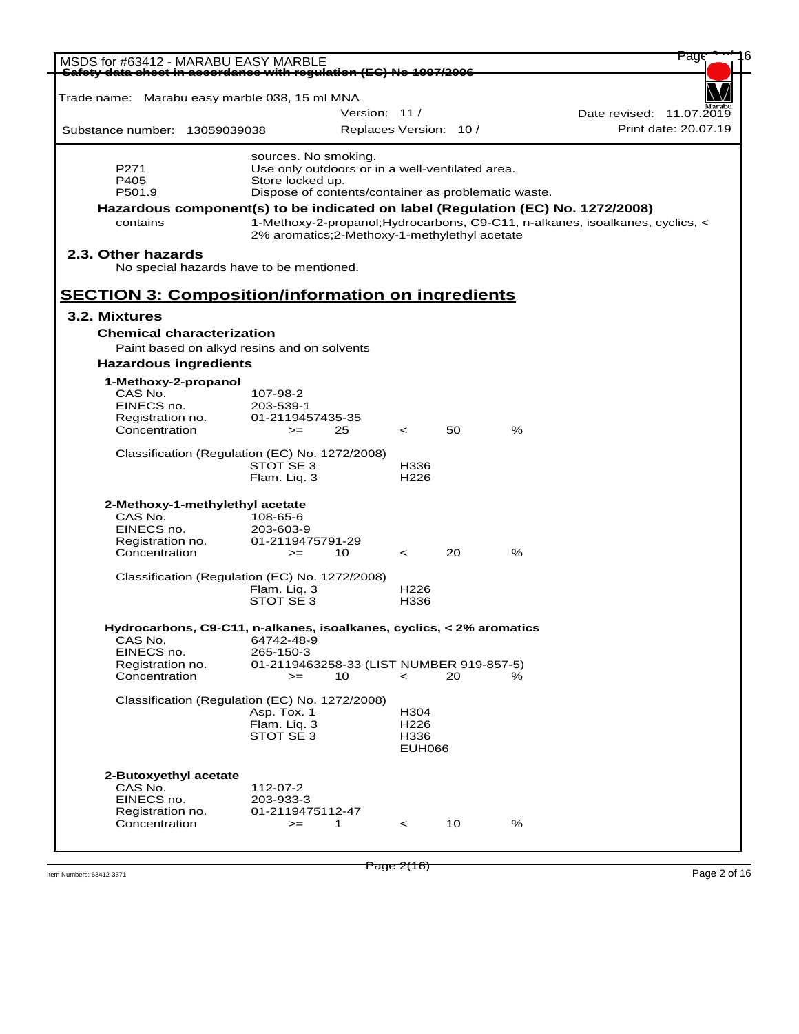| MSDS for #63412 - MARABU EASY MARBLE                                            |                                                     |               |                          |    |   | Page                                                                          |
|---------------------------------------------------------------------------------|-----------------------------------------------------|---------------|--------------------------|----|---|-------------------------------------------------------------------------------|
| Safety data sheet in accordance with requlation (EC) No 1907/2006               |                                                     |               |                          |    |   |                                                                               |
| Trade name: Marabu easy marble 038, 15 ml MNA                                   |                                                     |               |                          |    |   |                                                                               |
|                                                                                 |                                                     | Version: 11 / |                          |    |   | Date revised: 11.07.2019                                                      |
| Substance number: 13059039038                                                   |                                                     |               | Replaces Version: 10 /   |    |   | Print date: 20.07.19                                                          |
|                                                                                 | sources. No smoking.                                |               |                          |    |   |                                                                               |
| P271                                                                            | Use only outdoors or in a well-ventilated area.     |               |                          |    |   |                                                                               |
| P405                                                                            | Store locked up.                                    |               |                          |    |   |                                                                               |
| P501.9                                                                          | Dispose of contents/container as problematic waste. |               |                          |    |   |                                                                               |
| Hazardous component(s) to be indicated on label (Regulation (EC) No. 1272/2008) |                                                     |               |                          |    |   |                                                                               |
| contains                                                                        | 2% aromatics; 2-Methoxy-1-methylethyl acetate       |               |                          |    |   | 1-Methoxy-2-propanol; Hydrocarbons, C9-C11, n-alkanes, isoalkanes, cyclics, < |
| 2.3. Other hazards<br>No special hazards have to be mentioned.                  |                                                     |               |                          |    |   |                                                                               |
|                                                                                 |                                                     |               |                          |    |   |                                                                               |
| <b>SECTION 3: Composition/information on ingredients</b>                        |                                                     |               |                          |    |   |                                                                               |
| 3.2. Mixtures                                                                   |                                                     |               |                          |    |   |                                                                               |
| <b>Chemical characterization</b>                                                |                                                     |               |                          |    |   |                                                                               |
| Paint based on alkyd resins and on solvents                                     |                                                     |               |                          |    |   |                                                                               |
| <b>Hazardous ingredients</b>                                                    |                                                     |               |                          |    |   |                                                                               |
| 1-Methoxy-2-propanol                                                            |                                                     |               |                          |    |   |                                                                               |
| CAS No.                                                                         | 107-98-2                                            |               |                          |    |   |                                                                               |
| EINECS no.                                                                      | 203-539-1                                           |               |                          |    |   |                                                                               |
| Registration no.                                                                | 01-2119457435-35                                    |               |                          |    |   |                                                                               |
| Concentration                                                                   | $>=$                                                | 25            | $\prec$                  | 50 | % |                                                                               |
| Classification (Regulation (EC) No. 1272/2008)                                  |                                                     |               |                          |    |   |                                                                               |
|                                                                                 | STOT SE 3                                           |               | H336                     |    |   |                                                                               |
|                                                                                 | Flam. Liq. 3                                        |               | H <sub>226</sub>         |    |   |                                                                               |
| 2-Methoxy-1-methylethyl acetate                                                 |                                                     |               |                          |    |   |                                                                               |
| CAS No.                                                                         | 108-65-6                                            |               |                          |    |   |                                                                               |
| EINECS no.                                                                      | 203-603-9                                           |               |                          |    |   |                                                                               |
| Registration no.                                                                | 01-2119475791-29                                    |               |                          |    |   |                                                                               |
| Concentration                                                                   | $>=$                                                | 10            | $\prec$                  | 20 | % |                                                                               |
| Classification (Regulation (EC) No. 1272/2008)                                  |                                                     |               |                          |    |   |                                                                               |
|                                                                                 | Flam. Liq. 3                                        |               | H <sub>226</sub>         |    |   |                                                                               |
|                                                                                 | STOT SE 3                                           |               | H336                     |    |   |                                                                               |
| Hydrocarbons, C9-C11, n-alkanes, isoalkanes, cyclics, < 2% aromatics            |                                                     |               |                          |    |   |                                                                               |
| CAS No.                                                                         | 64742-48-9                                          |               |                          |    |   |                                                                               |
| EINECS no.                                                                      | 265-150-3                                           |               |                          |    |   |                                                                               |
| Registration no.                                                                | 01-2119463258-33 (LIST NUMBER 919-857-5)            |               |                          |    |   |                                                                               |
| Concentration                                                                   | $=$                                                 | 10            | $\,<\,$                  | 20 | % |                                                                               |
| Classification (Regulation (EC) No. 1272/2008)                                  |                                                     |               |                          |    |   |                                                                               |
|                                                                                 | Asp. Tox. 1                                         |               | H304                     |    |   |                                                                               |
|                                                                                 | Flam. Liq. 3<br>STOT SE 3                           |               | H <sub>226</sub><br>H336 |    |   |                                                                               |
|                                                                                 |                                                     |               | <b>EUH066</b>            |    |   |                                                                               |
|                                                                                 |                                                     |               |                          |    |   |                                                                               |
| 2-Butoxyethyl acetate                                                           |                                                     |               |                          |    |   |                                                                               |
| CAS No.<br>EINECS no.                                                           | 112-07-2<br>203-933-3                               |               |                          |    |   |                                                                               |
| Registration no.                                                                | 01-2119475112-47                                    |               |                          |    |   |                                                                               |
| Concentration                                                                   | $>=$                                                | 1             | $\,<\,$                  | 10 | % |                                                                               |
|                                                                                 |                                                     |               |                          |    |   |                                                                               |
|                                                                                 |                                                     |               |                          |    |   |                                                                               |

 $P_1$  Item Numbers: 63412-3371 **Page 2 of 16**  $P_2$  and  $P_3$   $P_4$   $P_5$   $P_6$   $P_7$   $P_8$   $P_9$   $P_9$   $P_1$   $P_2$   $P_1$   $P_2$   $P_3$   $P_4$   $P_5$   $P_6$   $P_7$   $P_8$   $P_9$   $P_1$   $P_2$   $P_1$   $P_2$   $P_3$   $P_4$   $P_5$   $P_6$   $P_$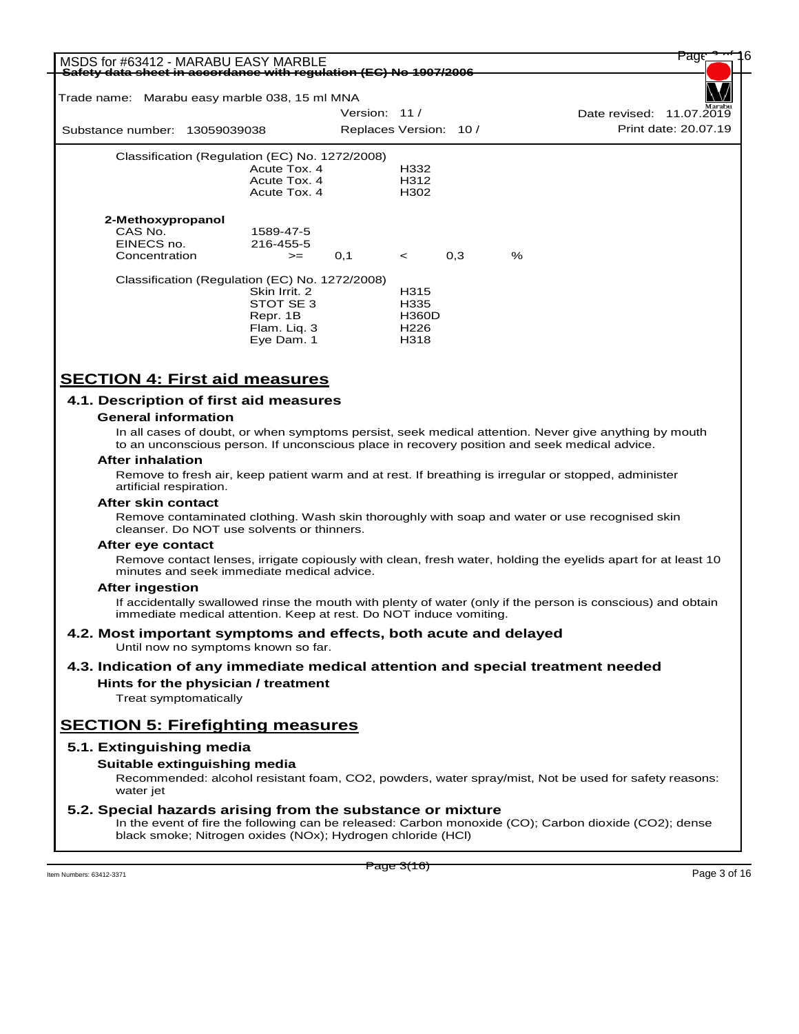| MSDS for #63412 - MARABU EASY MARBLE<br>Safety data sheet in accordance with regulation (EC) No 1907/2006 |                        |                  |     |      |                          | Page                 |  |
|-----------------------------------------------------------------------------------------------------------|------------------------|------------------|-----|------|--------------------------|----------------------|--|
| Trade name: Marabu easy marble 038, 15 ml MNA                                                             |                        |                  |     |      |                          |                      |  |
|                                                                                                           | Version: 11 /          |                  |     |      | Date revised: 11.07.2019 |                      |  |
| Substance number: 13059039038                                                                             | Replaces Version: 10 / |                  |     |      |                          | Print date: 20.07.19 |  |
| Classification (Regulation (EC) No. 1272/2008)                                                            |                        |                  |     |      |                          |                      |  |
| Acute Tox, 4                                                                                              |                        | H332             |     |      |                          |                      |  |
| Acute Tox, 4                                                                                              |                        | H312             |     |      |                          |                      |  |
| Acute Tox, 4                                                                                              |                        | H <sub>302</sub> |     |      |                          |                      |  |
| 2-Methoxypropanol                                                                                         |                        |                  |     |      |                          |                      |  |
| CAS No.<br>1589-47-5                                                                                      |                        |                  |     |      |                          |                      |  |
| EINECS no.<br>216-455-5                                                                                   |                        |                  |     |      |                          |                      |  |
| Concentration<br>$>=$                                                                                     | 0,1                    | $\leq$           | 0,3 | $\%$ |                          |                      |  |
| Classification (Regulation (EC) No. 1272/2008)                                                            |                        |                  |     |      |                          |                      |  |
| Skin Irrit, 2                                                                                             |                        | H315             |     |      |                          |                      |  |
| STOT SE 3                                                                                                 |                        | H335             |     |      |                          |                      |  |
| Repr. 1B                                                                                                  |                        | <b>H360D</b>     |     |      |                          |                      |  |
| Flam. Liq. 3                                                                                              |                        | H <sub>226</sub> |     |      |                          |                      |  |
| Eye Dam. 1                                                                                                |                        | H318             |     |      |                          |                      |  |
|                                                                                                           |                        |                  |     |      |                          |                      |  |

# **SECTION 4: First aid measures**

### **4.1. Description of first aid measures**

### **General information**

In all cases of doubt, or when symptoms persist, seek medical attention. Never give anything by mouth to an unconscious person. If unconscious place in recovery position and seek medical advice.

#### **After inhalation**

Remove to fresh air, keep patient warm and at rest. If breathing is irregular or stopped, administer artificial respiration.

#### **After skin contact**

Remove contaminated clothing. Wash skin thoroughly with soap and water or use recognised skin cleanser. Do NOT use solvents or thinners.

#### **After eye contact**

Remove contact lenses, irrigate copiously with clean, fresh water, holding the eyelids apart for at least 10 minutes and seek immediate medical advice.

### **After ingestion**

If accidentally swallowed rinse the mouth with plenty of water (only if the person is conscious) and obtain immediate medical attention. Keep at rest. Do NOT induce vomiting.

### **4.2. Most important symptoms and effects, both acute and delayed** Until now no symptoms known so far.

# **4.3. Indication of any immediate medical attention and special treatment needed**

**Hints for the physician / treatment**

Treat symptomatically

# **SECTION 5: Firefighting measures**

### **5.1. Extinguishing media**

### **Suitable extinguishing media**

Recommended: alcohol resistant foam, CO2, powders, water spray/mist, Not be used for safety reasons: water jet

### **5.2. Special hazards arising from the substance or mixture**

In the event of fire the following can be released: Carbon monoxide (CO); Carbon dioxide (CO2); dense black smoke; Nitrogen oxides (NOx); Hydrogen chloride (HCl)

Item Numbers: 63412-3371 Page 3 of 16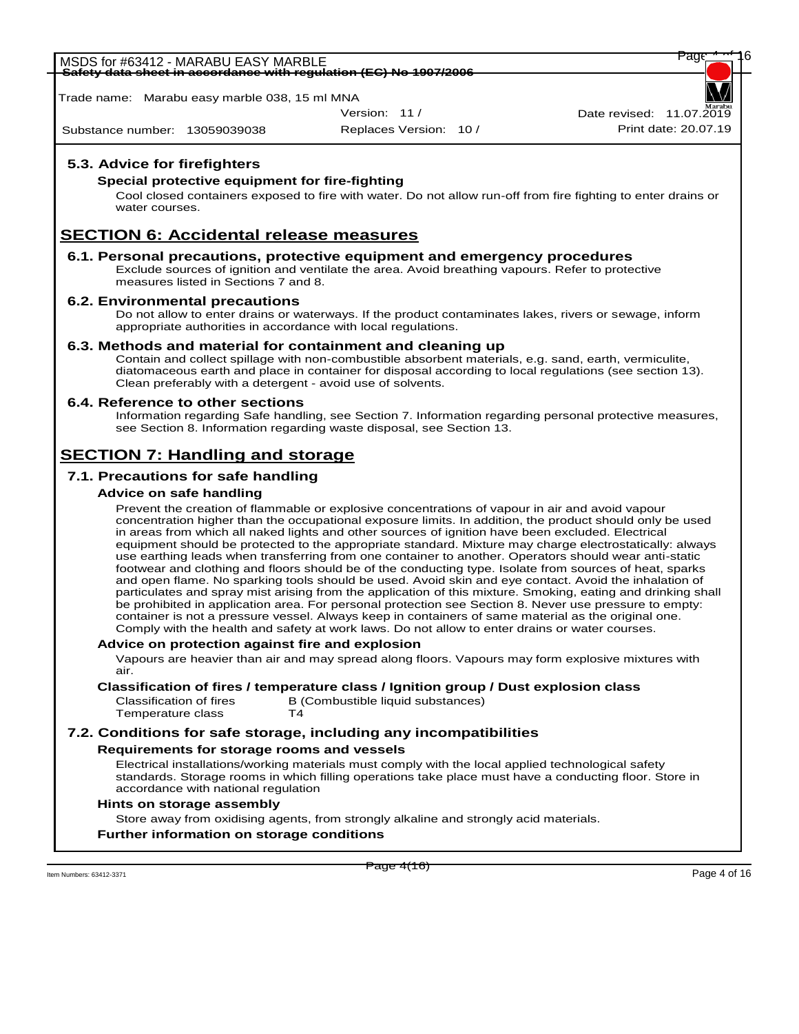MSDS for #63412 - MARABU EASY MARBLE<br><del>Safety data sheet in accordance with regulation (EC) No 1907/2006</del> **Safety data sheet in accordance with regulation (EC) No 1907/2006**

Trade name: Marabu easy marble 038, 15 ml MNA

Version: 11 /

Substance number: 13059039038

WORLD

Replaces Version: 10 / Print date: 20.07.19 Date revised:  $11.07.\overline{20}$ 

# **5.3. Advice for firefighters**

### **Special protective equipment for fire-fighting**

Cool closed containers exposed to fire with water. Do not allow run-off from fire fighting to enter drains or water courses.

# **SECTION 6: Accidental release measures**

### **6.1. Personal precautions, protective equipment and emergency procedures**

Exclude sources of ignition and ventilate the area. Avoid breathing vapours. Refer to protective measures listed in Sections 7 and 8.

### **6.2. Environmental precautions**

Do not allow to enter drains or waterways. If the product contaminates lakes, rivers or sewage, inform appropriate authorities in accordance with local regulations.

### **6.3. Methods and material for containment and cleaning up**

Contain and collect spillage with non-combustible absorbent materials, e.g. sand, earth, vermiculite, diatomaceous earth and place in container for disposal according to local regulations (see section 13). Clean preferably with a detergent - avoid use of solvents.

### **6.4. Reference to other sections**

Information regarding Safe handling, see Section 7. Information regarding personal protective measures, see Section 8. Information regarding waste disposal, see Section 13.

# **SECTION 7: Handling and storage**

# **7.1. Precautions for safe handling**

# **Advice on safe handling**

Prevent the creation of flammable or explosive concentrations of vapour in air and avoid vapour concentration higher than the occupational exposure limits. In addition, the product should only be used in areas from which all naked lights and other sources of ignition have been excluded. Electrical equipment should be protected to the appropriate standard. Mixture may charge electrostatically: always use earthing leads when transferring from one container to another. Operators should wear anti-static footwear and clothing and floors should be of the conducting type. Isolate from sources of heat, sparks and open flame. No sparking tools should be used. Avoid skin and eye contact. Avoid the inhalation of particulates and spray mist arising from the application of this mixture. Smoking, eating and drinking shall be prohibited in application area. For personal protection see Section 8. Never use pressure to empty: container is not a pressure vessel. Always keep in containers of same material as the original one. Comply with the health and safety at work laws. Do not allow to enter drains or water courses.

### **Advice on protection against fire and explosion**

Vapours are heavier than air and may spread along floors. Vapours may form explosive mixtures with air.

**Classification of fires / temperature class / Ignition group / Dust explosion class**

Classification of fires B (Combustible liquid substances)<br>Temperature class T4 Temperature class

# **7.2. Conditions for safe storage, including any incompatibilities**

### **Requirements for storage rooms and vessels**

Electrical installations/working materials must comply with the local applied technological safety standards. Storage rooms in which filling operations take place must have a conducting floor. Store in accordance with national regulation

### **Hints on storage assembly**

Store away from oxidising agents, from strongly alkaline and strongly acid materials.

### **Further information on storage conditions**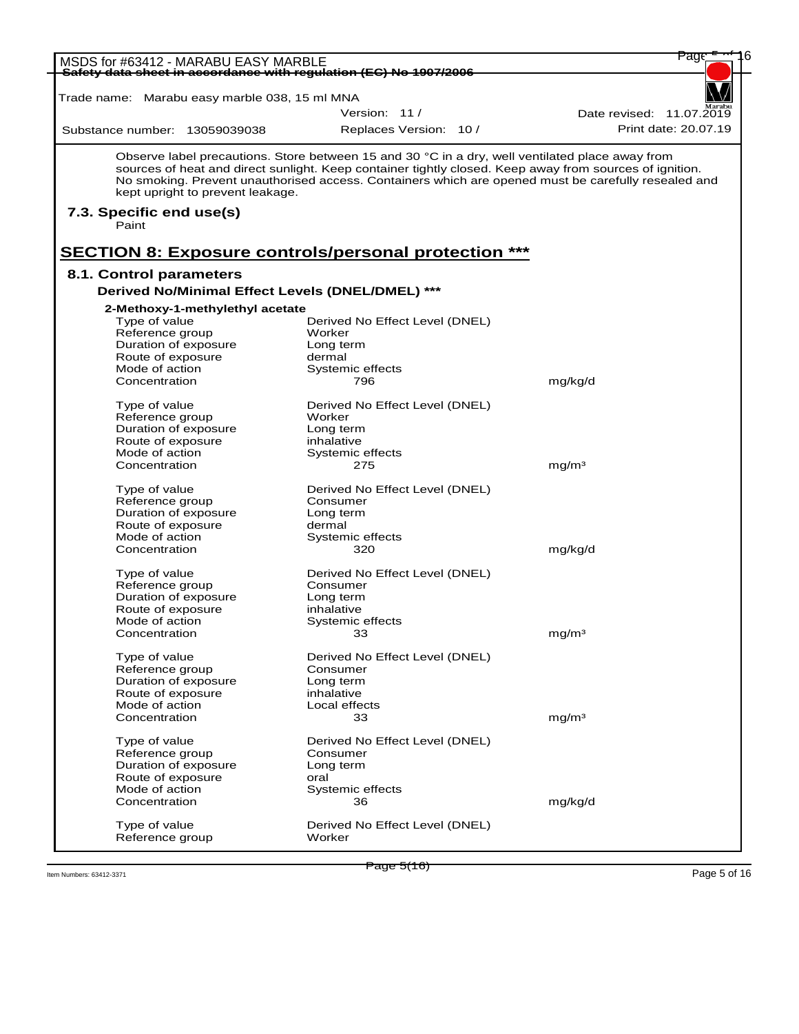| MSDS for #63412 - MARABU EASY MARBLE                              |                                                                                                         | Page                     |
|-------------------------------------------------------------------|---------------------------------------------------------------------------------------------------------|--------------------------|
| Safety data sheet in accordance with regulation (EC) No 1907/2006 |                                                                                                         |                          |
| Trade name: Marabu easy marble 038, 15 ml MNA                     |                                                                                                         |                          |
|                                                                   | Version: 11/                                                                                            | Date revised: 11.07.2019 |
| Substance number: 13059039038                                     | Replaces Version: 10 /                                                                                  | Print date: 20.07.19     |
|                                                                   |                                                                                                         |                          |
|                                                                   | Observe label precautions. Store between 15 and 30 °C in a dry, well ventilated place away from         |                          |
|                                                                   | sources of heat and direct sunlight. Keep container tightly closed. Keep away from sources of ignition. |                          |
| kept upright to prevent leakage.                                  | No smoking. Prevent unauthorised access. Containers which are opened must be carefully resealed and     |                          |
| 7.3. Specific end use(s)                                          |                                                                                                         |                          |
| Paint                                                             |                                                                                                         |                          |
|                                                                   |                                                                                                         |                          |
|                                                                   | <b>SECTION 8: Exposure controls/personal protection ***</b>                                             |                          |
| 8.1. Control parameters                                           |                                                                                                         |                          |
| Derived No/Minimal Effect Levels (DNEL/DMEL) ***                  |                                                                                                         |                          |
|                                                                   |                                                                                                         |                          |
| 2-Methoxy-1-methylethyl acetate<br>Type of value                  | Derived No Effect Level (DNEL)                                                                          |                          |
| Reference group                                                   | Worker                                                                                                  |                          |
| Duration of exposure                                              | Long term                                                                                               |                          |
| Route of exposure                                                 | dermal                                                                                                  |                          |
| Mode of action<br>Concentration                                   | Systemic effects<br>796                                                                                 | mg/kg/d                  |
|                                                                   |                                                                                                         |                          |
| Type of value                                                     | Derived No Effect Level (DNEL)                                                                          |                          |
| Reference group<br>Duration of exposure                           | Worker                                                                                                  |                          |
| Route of exposure                                                 | Long term<br>inhalative                                                                                 |                          |
| Mode of action                                                    | Systemic effects                                                                                        |                          |
| Concentration                                                     | 275                                                                                                     | mg/m <sup>3</sup>        |
| Type of value                                                     | Derived No Effect Level (DNEL)                                                                          |                          |
| Reference group                                                   | Consumer                                                                                                |                          |
| Duration of exposure                                              | Long term                                                                                               |                          |
| Route of exposure                                                 | dermal                                                                                                  |                          |
| Mode of action<br>Concentration                                   | Systemic effects<br>320                                                                                 | mg/kg/d                  |
|                                                                   |                                                                                                         |                          |
| Type of value                                                     | Derived No Effect Level (DNEL)                                                                          |                          |
| Reference group                                                   | Consumer                                                                                                |                          |
| Duration of exposure<br>Route of exposure                         | Long term<br>inhalative                                                                                 |                          |
| Mode of action                                                    | Systemic effects                                                                                        |                          |
| Concentration                                                     | $\sim$ 33                                                                                               | mg/m <sup>3</sup>        |
|                                                                   |                                                                                                         |                          |
| Type of value<br>Reference group                                  | Derived No Effect Level (DNEL)<br>Consumer                                                              |                          |
| Duration of exposure                                              | Long term                                                                                               |                          |
| Route of exposure                                                 | inhalative                                                                                              |                          |
| Mode of action                                                    | Local effects                                                                                           |                          |
| Concentration                                                     | 33                                                                                                      | mq/m <sup>3</sup>        |
| Type of value                                                     | Derived No Effect Level (DNEL)                                                                          |                          |
| Reference group                                                   | Consumer                                                                                                |                          |
| Duration of exposure                                              | Long term                                                                                               |                          |
| Route of exposure                                                 | oral                                                                                                    |                          |
| Mode of action<br>Concentration                                   | Systemic effects<br>36                                                                                  | mg/kg/d                  |
|                                                                   |                                                                                                         |                          |
| Type of value                                                     | Derived No Effect Level (DNEL)                                                                          |                          |
| Reference group                                                   | Worker                                                                                                  |                          |

Item Numbers: 63412-3371 Page 5 of 16

Page 5(16)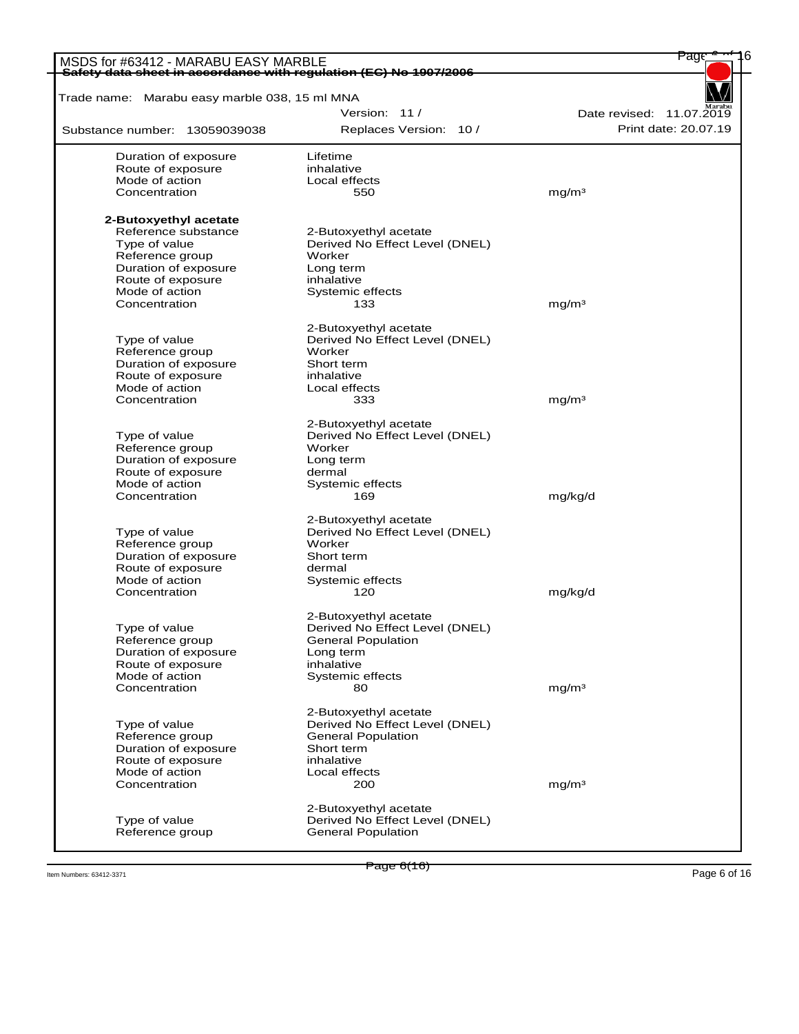| MSDS for #63412 - MARABU EASY MARBLE<br>Safety data sheet in accordance with regulation (EC) No 1907/2006 |                                | Page                     |
|-----------------------------------------------------------------------------------------------------------|--------------------------------|--------------------------|
| Trade name: Marabu easy marble 038, 15 ml MNA                                                             |                                |                          |
|                                                                                                           | Version: 11/                   | Date revised: 11.07.2019 |
| Substance number: 13059039038                                                                             |                                | Print date: 20.07.19     |
|                                                                                                           | Replaces Version: 10 /         |                          |
| Duration of exposure                                                                                      | Lifetime                       |                          |
| Route of exposure                                                                                         | inhalative                     |                          |
| Mode of action<br>Concentration                                                                           | Local effects<br>550           | mq/m <sup>3</sup>        |
|                                                                                                           |                                |                          |
| 2-Butoxyethyl acetate                                                                                     |                                |                          |
| Reference substance                                                                                       | 2-Butoxyethyl acetate          |                          |
| Type of value                                                                                             | Derived No Effect Level (DNEL) |                          |
| Reference group                                                                                           | Worker                         |                          |
| Duration of exposure                                                                                      | Long term                      |                          |
| Route of exposure                                                                                         | inhalative                     |                          |
| Mode of action                                                                                            | Systemic effects               |                          |
| Concentration                                                                                             | 133                            | mg/m <sup>3</sup>        |
|                                                                                                           | 2-Butoxyethyl acetate          |                          |
| Type of value                                                                                             | Derived No Effect Level (DNEL) |                          |
| Reference group                                                                                           | Worker                         |                          |
| Duration of exposure                                                                                      | Short term                     |                          |
| Route of exposure                                                                                         | inhalative                     |                          |
| Mode of action                                                                                            | Local effects                  |                          |
| Concentration                                                                                             | 333                            | mg/m <sup>3</sup>        |
|                                                                                                           | 2-Butoxyethyl acetate          |                          |
| Type of value                                                                                             | Derived No Effect Level (DNEL) |                          |
| Reference group                                                                                           | Worker                         |                          |
| Duration of exposure                                                                                      | Long term                      |                          |
| Route of exposure                                                                                         | dermal                         |                          |
| Mode of action                                                                                            | Systemic effects               |                          |
| Concentration                                                                                             | 169                            | mg/kg/d                  |
|                                                                                                           | 2-Butoxyethyl acetate          |                          |
| Type of value                                                                                             | Derived No Effect Level (DNEL) |                          |
| Reference group                                                                                           | Worker                         |                          |
| Duration of exposure                                                                                      | Short term                     |                          |
| Route of exposure                                                                                         | dermal                         |                          |
| Mode of action                                                                                            | Systemic effects               |                          |
| Concentration                                                                                             | 120                            | mg/kg/d                  |
|                                                                                                           |                                |                          |
|                                                                                                           | 2-Butoxyethyl acetate          |                          |
| Type of value                                                                                             | Derived No Effect Level (DNEL) |                          |
| Reference group                                                                                           | <b>General Population</b>      |                          |
| Duration of exposure                                                                                      | Long term                      |                          |
| Route of exposure                                                                                         | inhalative                     |                          |
| Mode of action                                                                                            | Systemic effects               |                          |
| Concentration                                                                                             | 80                             | mg/m <sup>3</sup>        |
|                                                                                                           | 2-Butoxyethyl acetate          |                          |
| Type of value                                                                                             | Derived No Effect Level (DNEL) |                          |
| Reference group                                                                                           | General Population             |                          |
| Duration of exposure                                                                                      | Short term                     |                          |
| Route of exposure                                                                                         | inhalative                     |                          |
| Mode of action                                                                                            | Local effects                  |                          |
| Concentration                                                                                             | 200                            | mg/m <sup>3</sup>        |
|                                                                                                           | 2-Butoxyethyl acetate          |                          |
| Type of value                                                                                             | Derived No Effect Level (DNEL) |                          |
| Reference group                                                                                           | General Population             |                          |

Item Numbers: 63412-3371 Page 6 of 16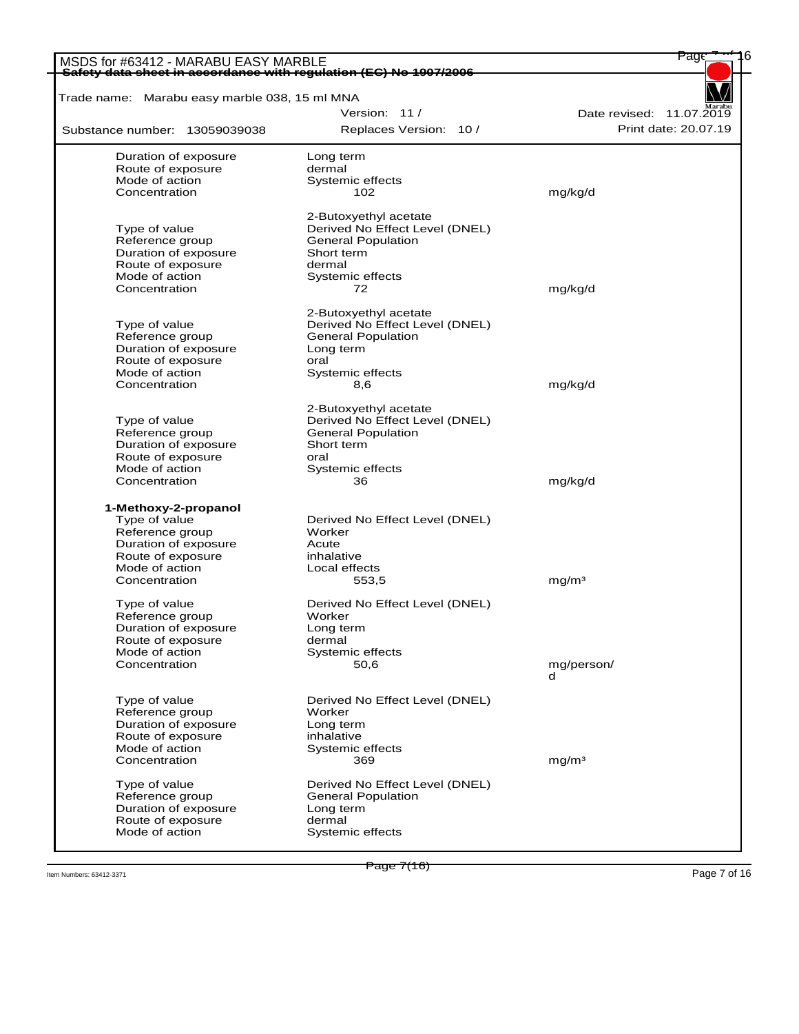| MSDS for #63412 - MARABU EASY MARBLE                              |                                | <del>Pag</del>           |
|-------------------------------------------------------------------|--------------------------------|--------------------------|
| Safety data sheet in accordance with regulation (EC) No 1907/2006 |                                |                          |
| Trade name: Marabu easy marble 038, 15 ml MNA                     |                                |                          |
|                                                                   | Version: 11/                   | Date revised: 11.07.2019 |
| Substance number: 13059039038                                     | Replaces Version: 10 /         | Print date: 20.07.19     |
| Duration of exposure                                              | Long term                      |                          |
| Route of exposure                                                 | dermal                         |                          |
| Mode of action                                                    | Systemic effects               |                          |
| Concentration                                                     | 102                            | mg/kg/d                  |
|                                                                   | 2-Butoxyethyl acetate          |                          |
| Type of value                                                     | Derived No Effect Level (DNEL) |                          |
| Reference group                                                   | <b>General Population</b>      |                          |
| Duration of exposure                                              | Short term                     |                          |
| Route of exposure                                                 | dermal                         |                          |
| Mode of action                                                    | Systemic effects               |                          |
| Concentration                                                     | 72                             | mg/kg/d                  |
|                                                                   |                                |                          |
|                                                                   | 2-Butoxyethyl acetate          |                          |
| Type of value                                                     | Derived No Effect Level (DNEL) |                          |
| Reference group                                                   | <b>General Population</b>      |                          |
| Duration of exposure                                              | Long term                      |                          |
| Route of exposure                                                 | oral                           |                          |
| Mode of action                                                    | Systemic effects               |                          |
| Concentration                                                     | 8,6                            | mg/kg/d                  |
|                                                                   | 2-Butoxyethyl acetate          |                          |
| Type of value                                                     | Derived No Effect Level (DNEL) |                          |
| Reference group                                                   | <b>General Population</b>      |                          |
| Duration of exposure                                              | Short term                     |                          |
| Route of exposure                                                 | oral                           |                          |
| Mode of action                                                    | Systemic effects               |                          |
| Concentration                                                     | 36                             | mg/kg/d                  |
|                                                                   |                                |                          |
| 1-Methoxy-2-propanol                                              |                                |                          |
| Type of value                                                     | Derived No Effect Level (DNEL) |                          |
| Reference group                                                   | Worker                         |                          |
| Duration of exposure                                              | Acute                          |                          |
| Route of exposure                                                 | inhalative                     |                          |
| Mode of action                                                    | Local effects                  |                          |
| Concentration                                                     | 553,5                          | mq/m <sup>3</sup>        |
| Type of value                                                     | Derived No Effect Level (DNEL) |                          |
| Reference group                                                   | Worker                         |                          |
| Duration of exposure                                              | Long term                      |                          |
| Route of exposure                                                 | dermal                         |                          |
| Mode of action                                                    | Systemic effects               |                          |
| Concentration                                                     | 50,6                           | mg/person/               |
|                                                                   |                                | d                        |
|                                                                   |                                |                          |
| Type of value                                                     | Derived No Effect Level (DNEL) |                          |
| Reference group                                                   | Worker                         |                          |
| Duration of exposure<br>Route of exposure                         | Long term                      |                          |
| Mode of action                                                    | inhalative<br>Systemic effects |                          |
| Concentration                                                     | 369                            | mg/m <sup>3</sup>        |
|                                                                   |                                |                          |
| Type of value                                                     | Derived No Effect Level (DNEL) |                          |
| Reference group                                                   | <b>General Population</b>      |                          |
| Duration of exposure                                              | Long term                      |                          |
| Route of exposure                                                 | dermal                         |                          |
| Mode of action                                                    | Systemic effects               |                          |
|                                                                   |                                |                          |

Item Numbers: 63412-3371 Page 7 of 16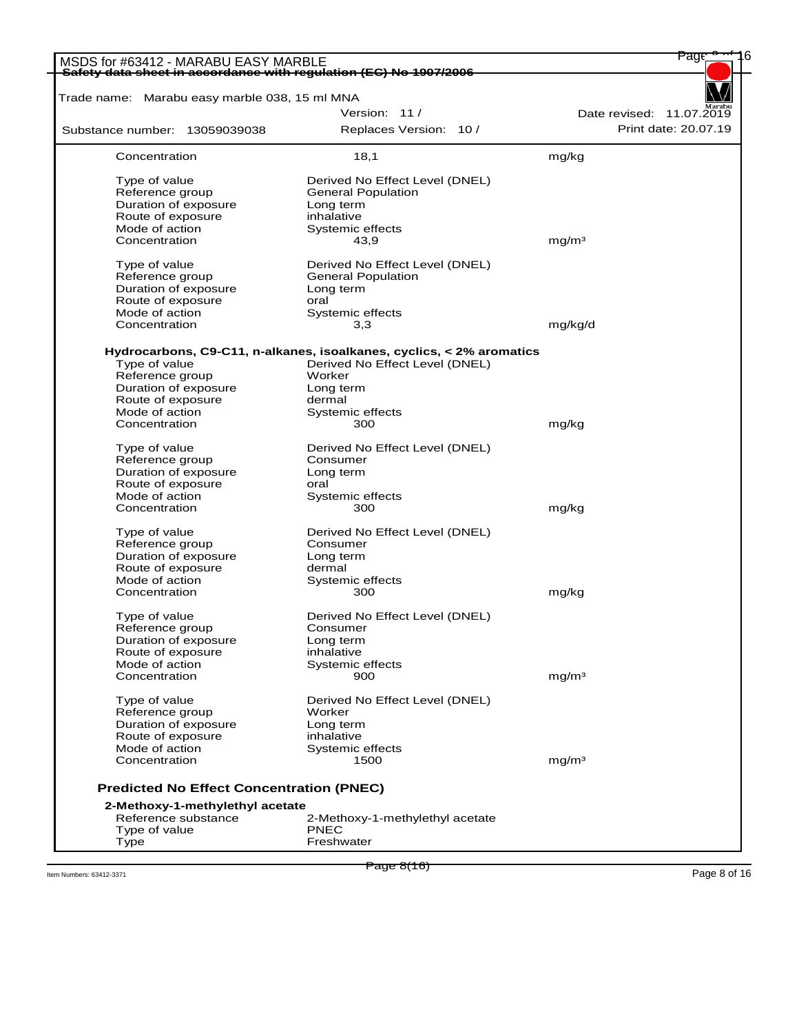| MSDS for #63412 - MARABU EASY MARBLE            | Safety data sheet in accordance with regulation (EC) No 1907/2006                                      | Page                     |
|-------------------------------------------------|--------------------------------------------------------------------------------------------------------|--------------------------|
|                                                 |                                                                                                        |                          |
| Trade name: Marabu easy marble 038, 15 ml MNA   |                                                                                                        |                          |
|                                                 | Version: 11/                                                                                           | Date revised: 11.07.2019 |
| Substance number: 13059039038                   | Replaces Version: 10 /                                                                                 | Print date: 20.07.19     |
| Concentration                                   | 18,1                                                                                                   | mg/kg                    |
| Type of value                                   | Derived No Effect Level (DNEL)                                                                         |                          |
| Reference group                                 | <b>General Population</b>                                                                              |                          |
| Duration of exposure                            | Long term                                                                                              |                          |
| Route of exposure                               | inhalative                                                                                             |                          |
| Mode of action                                  | Systemic effects                                                                                       |                          |
| Concentration                                   | 43,9                                                                                                   | mq/m <sup>3</sup>        |
|                                                 |                                                                                                        |                          |
| Type of value                                   | Derived No Effect Level (DNEL)                                                                         |                          |
| Reference group                                 | <b>General Population</b>                                                                              |                          |
| Duration of exposure                            | Long term                                                                                              |                          |
| Route of exposure                               | oral                                                                                                   |                          |
| Mode of action                                  | Systemic effects                                                                                       |                          |
| Concentration                                   | 3,3                                                                                                    | mg/kg/d                  |
| Type of value                                   | Hydrocarbons, C9-C11, n-alkanes, isoalkanes, cyclics, < 2% aromatics<br>Derived No Effect Level (DNEL) |                          |
| Reference group                                 | Worker                                                                                                 |                          |
|                                                 |                                                                                                        |                          |
| Duration of exposure                            | Long term                                                                                              |                          |
| Route of exposure<br>Mode of action             | dermal<br>Systemic effects                                                                             |                          |
|                                                 |                                                                                                        |                          |
| Concentration                                   | 300                                                                                                    | mg/kg                    |
| Type of value                                   | Derived No Effect Level (DNEL)                                                                         |                          |
| Reference group                                 | Consumer                                                                                               |                          |
| Duration of exposure                            | Long term                                                                                              |                          |
| Route of exposure                               | oral                                                                                                   |                          |
| Mode of action                                  | Systemic effects                                                                                       |                          |
| Concentration                                   | 300                                                                                                    | mg/kg                    |
| Type of value                                   | Derived No Effect Level (DNEL)                                                                         |                          |
| Reference group                                 | Consumer                                                                                               |                          |
| Duration of exposure                            | Long term                                                                                              |                          |
| Route of exposure                               | dermal                                                                                                 |                          |
| Mode of action                                  | Systemic effects                                                                                       |                          |
| Concentration                                   | 300                                                                                                    | mg/kg                    |
|                                                 |                                                                                                        |                          |
| Type of value                                   | Derived No Effect Level (DNEL)                                                                         |                          |
| Reference group                                 | Consumer                                                                                               |                          |
| Duration of exposure                            | Long term                                                                                              |                          |
| Route of exposure                               | inhalative                                                                                             |                          |
| Mode of action                                  | Systemic effects                                                                                       |                          |
| Concentration                                   | 900                                                                                                    | mq/m <sup>3</sup>        |
|                                                 |                                                                                                        |                          |
| Type of value                                   | Derived No Effect Level (DNEL)                                                                         |                          |
| Reference group                                 | Worker                                                                                                 |                          |
| Duration of exposure                            | Long term                                                                                              |                          |
| Route of exposure                               | inhalative                                                                                             |                          |
| Mode of action                                  | Systemic effects                                                                                       |                          |
| Concentration                                   | 1500                                                                                                   | mq/m <sup>3</sup>        |
| <b>Predicted No Effect Concentration (PNEC)</b> |                                                                                                        |                          |
| 2-Methoxy-1-methylethyl acetate                 |                                                                                                        |                          |
| Reference substance                             | 2-Methoxy-1-methylethyl acetate                                                                        |                          |
| Type of value                                   | PNEC                                                                                                   |                          |
| Type                                            | Freshwater                                                                                             |                          |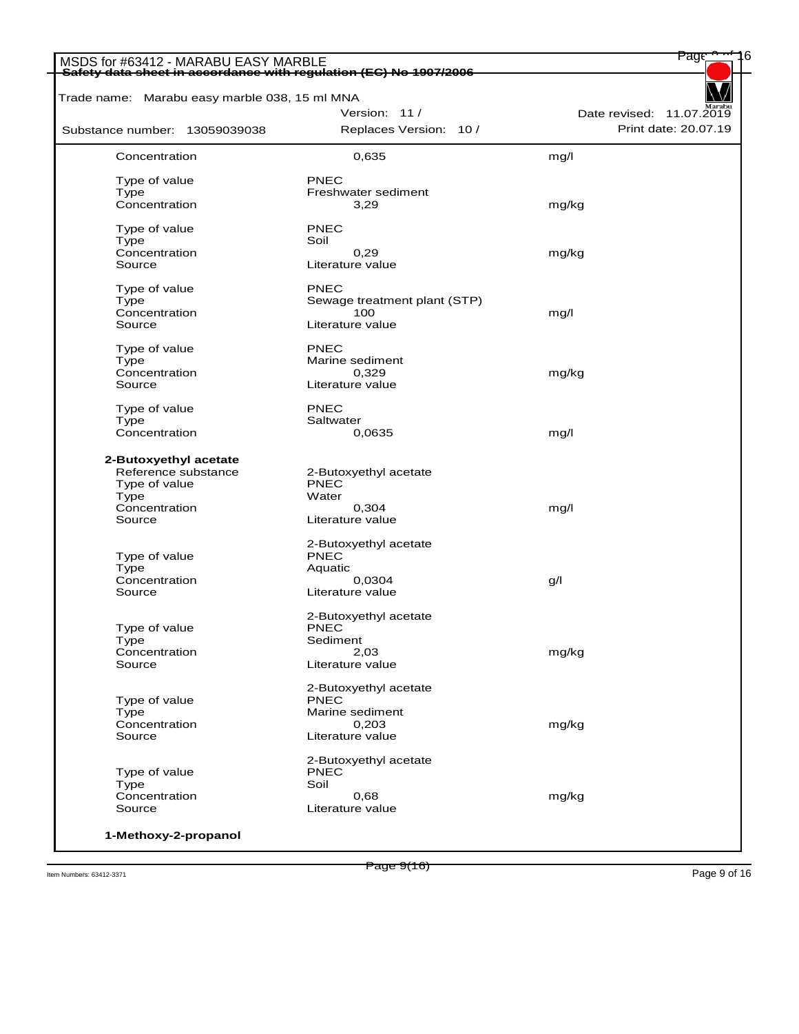| Trade name: Marabu easy marble 038, 15 ml MNA                                                    |                                                                            |                          |
|--------------------------------------------------------------------------------------------------|----------------------------------------------------------------------------|--------------------------|
|                                                                                                  | Version: 11/                                                               | Date revised: 11.07.2019 |
| Substance number: 13059039038                                                                    | Replaces Version: 10 /                                                     | Print date: 20.07.19     |
| Concentration                                                                                    | 0,635                                                                      | mg/l                     |
| Type of value                                                                                    | PNEC                                                                       |                          |
| Type                                                                                             | Freshwater sediment                                                        |                          |
| Concentration                                                                                    | 3,29                                                                       | mg/kg                    |
| Type of value                                                                                    | <b>PNEC</b>                                                                |                          |
| <b>Type</b>                                                                                      | Soil                                                                       |                          |
| Concentration                                                                                    | 0,29                                                                       | mg/kg                    |
| Source                                                                                           | Literature value                                                           |                          |
| Type of value                                                                                    | PNEC                                                                       |                          |
| <b>Type</b>                                                                                      | Sewage treatment plant (STP)                                               |                          |
| Concentration                                                                                    | 100                                                                        | mg/l                     |
| Source                                                                                           | Literature value                                                           |                          |
| Type of value                                                                                    | PNEC                                                                       |                          |
| Type                                                                                             | Marine sediment                                                            |                          |
| Concentration                                                                                    | 0,329                                                                      | mg/kg                    |
| Source                                                                                           | Literature value                                                           |                          |
| Type of value                                                                                    | <b>PNEC</b>                                                                |                          |
| Type                                                                                             | Saltwater                                                                  |                          |
| Concentration                                                                                    | 0,0635                                                                     | mg/l                     |
| 2-Butoxyethyl acetate<br>Reference substance<br>Type of value<br>Type<br>Concentration<br>Source | 2-Butoxyethyl acetate<br><b>PNEC</b><br>Water<br>0,304<br>Literature value | mg/l                     |
|                                                                                                  | 2-Butoxyethyl acetate                                                      |                          |
| Type of value                                                                                    | <b>PNEC</b>                                                                |                          |
| <b>Type</b>                                                                                      | Aquatic                                                                    |                          |
| Concentration                                                                                    | 0,0304                                                                     | g/l                      |
| Source                                                                                           | Literature value                                                           |                          |
|                                                                                                  | 2-Butoxyethyl acetate                                                      |                          |
| Type of value                                                                                    | <b>PNEC</b>                                                                |                          |
| Type                                                                                             | Sediment                                                                   |                          |
| Concentration<br>Source                                                                          | 2,03<br>Literature value                                                   | mg/kg                    |
|                                                                                                  |                                                                            |                          |
|                                                                                                  | 2-Butoxyethyl acetate<br><b>PNEC</b>                                       |                          |
| Type of value<br>Type                                                                            | Marine sediment                                                            |                          |
| Concentration                                                                                    | 0,203                                                                      | mg/kg                    |
| Source                                                                                           | Literature value                                                           |                          |
|                                                                                                  | 2-Butoxyethyl acetate                                                      |                          |
| Type of value                                                                                    | <b>PNEC</b>                                                                |                          |
| Type                                                                                             | Soil                                                                       |                          |
| Concentration                                                                                    | 0,68                                                                       | mg/kg                    |
| Source                                                                                           | Literature value                                                           |                          |

Item Numbers: 63412-3371 Page 9 of 16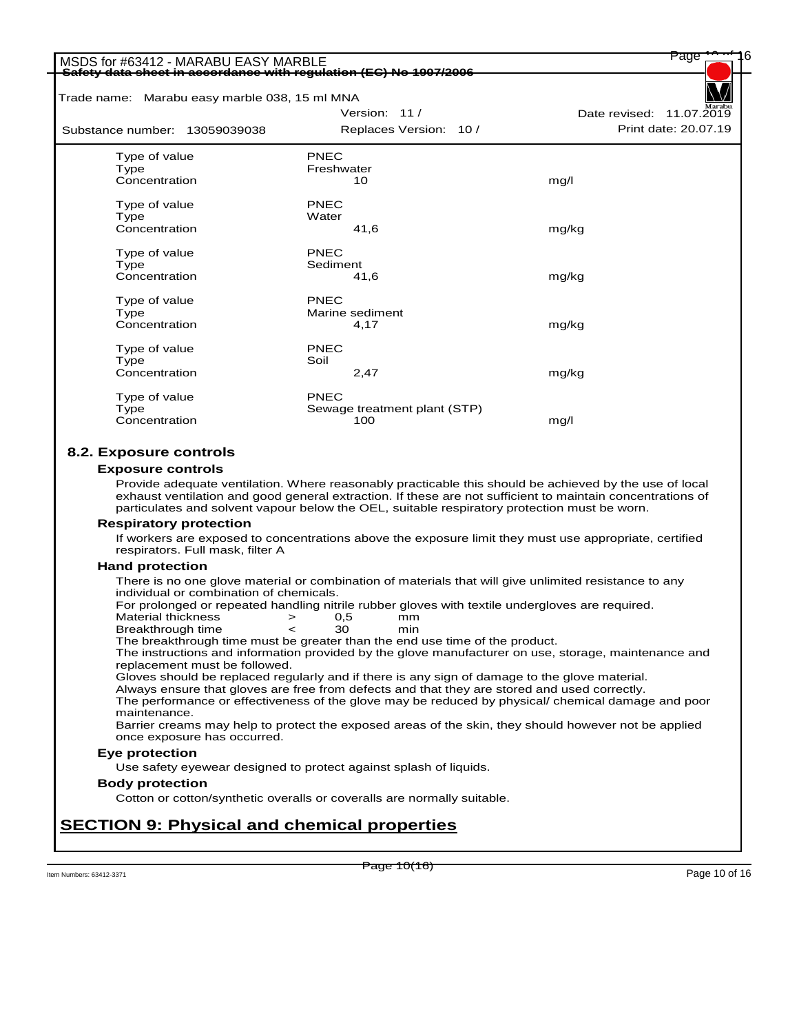|                                                                   | Safety data sheet in accordance with requlation (EC) No 1907/2006                                                                                                                                                                                                                                                    |                          |
|-------------------------------------------------------------------|----------------------------------------------------------------------------------------------------------------------------------------------------------------------------------------------------------------------------------------------------------------------------------------------------------------------|--------------------------|
|                                                                   |                                                                                                                                                                                                                                                                                                                      |                          |
| Trade name: Marabu easy marble 038, 15 ml MNA                     | Version: 11 /                                                                                                                                                                                                                                                                                                        | Date revised: 11.07.2019 |
| Substance number: 13059039038                                     | Replaces Version: 10 /                                                                                                                                                                                                                                                                                               | Print date: 20.07.19     |
|                                                                   |                                                                                                                                                                                                                                                                                                                      |                          |
| Type of value                                                     | <b>PNEC</b>                                                                                                                                                                                                                                                                                                          |                          |
| Type<br>Concentration                                             | Freshwater<br>10                                                                                                                                                                                                                                                                                                     | mg/l                     |
|                                                                   |                                                                                                                                                                                                                                                                                                                      |                          |
| Type of value                                                     | PNEC                                                                                                                                                                                                                                                                                                                 |                          |
| Type                                                              | Water                                                                                                                                                                                                                                                                                                                |                          |
| Concentration                                                     | 41,6                                                                                                                                                                                                                                                                                                                 | mg/kg                    |
| Type of value                                                     | <b>PNEC</b>                                                                                                                                                                                                                                                                                                          |                          |
| Type                                                              | Sediment                                                                                                                                                                                                                                                                                                             |                          |
| Concentration                                                     | 41,6                                                                                                                                                                                                                                                                                                                 | mg/kg                    |
| Type of value                                                     | <b>PNEC</b>                                                                                                                                                                                                                                                                                                          |                          |
| Type                                                              | Marine sediment                                                                                                                                                                                                                                                                                                      |                          |
| Concentration                                                     | 4,17                                                                                                                                                                                                                                                                                                                 | mg/kg                    |
| Type of value                                                     | PNEC                                                                                                                                                                                                                                                                                                                 |                          |
| Type                                                              | Soil                                                                                                                                                                                                                                                                                                                 |                          |
| Concentration                                                     | 2,47                                                                                                                                                                                                                                                                                                                 | mg/kg                    |
|                                                                   | PNFC                                                                                                                                                                                                                                                                                                                 |                          |
| Type of value<br>Type                                             | Sewage treatment plant (STP)                                                                                                                                                                                                                                                                                         |                          |
| Concentration                                                     | 100                                                                                                                                                                                                                                                                                                                  | mg/l                     |
|                                                                   | Provide adequate ventilation. Where reasonably practicable this should be achieved by the use of local<br>exhaust ventilation and good general extraction. If these are not sufficient to maintain concentrations of<br>particulates and solvent vapour below the OEL, suitable respiratory protection must be worn. |                          |
|                                                                   |                                                                                                                                                                                                                                                                                                                      |                          |
|                                                                   |                                                                                                                                                                                                                                                                                                                      |                          |
| <b>Respiratory protection</b><br>respirators. Full mask, filter A | If workers are exposed to concentrations above the exposure limit they must use appropriate, certified                                                                                                                                                                                                               |                          |
| <b>Hand protection</b>                                            |                                                                                                                                                                                                                                                                                                                      |                          |
|                                                                   | There is no one glove material or combination of materials that will give unlimited resistance to any                                                                                                                                                                                                                |                          |
| individual or combination of chemicals.                           |                                                                                                                                                                                                                                                                                                                      |                          |
|                                                                   | For prolonged or repeated handling nitrile rubber gloves with textile undergloves are required.                                                                                                                                                                                                                      |                          |
| <b>Material thickness</b><br>Breakthrough time                    | 0,5<br>mm<br>$\, > \,$<br>30<br>min<br>$\,<$                                                                                                                                                                                                                                                                         |                          |
|                                                                   | The breakthrough time must be greater than the end use time of the product.                                                                                                                                                                                                                                          |                          |
|                                                                   | The instructions and information provided by the glove manufacturer on use, storage, maintenance and                                                                                                                                                                                                                 |                          |
| replacement must be followed.                                     | Gloves should be replaced regularly and if there is any sign of damage to the glove material.                                                                                                                                                                                                                        |                          |
|                                                                   | Always ensure that gloves are free from defects and that they are stored and used correctly.                                                                                                                                                                                                                         |                          |
|                                                                   | The performance or effectiveness of the glove may be reduced by physical/ chemical damage and poor                                                                                                                                                                                                                   |                          |
| maintenance.                                                      | Barrier creams may help to protect the exposed areas of the skin, they should however not be applied                                                                                                                                                                                                                 |                          |
| once exposure has occurred.                                       |                                                                                                                                                                                                                                                                                                                      |                          |
| Eye protection                                                    |                                                                                                                                                                                                                                                                                                                      |                          |
|                                                                   | Use safety eyewear designed to protect against splash of liquids.                                                                                                                                                                                                                                                    |                          |
| <b>Body protection</b>                                            |                                                                                                                                                                                                                                                                                                                      |                          |
|                                                                   | Cotton or cotton/synthetic overalls or coveralls are normally suitable.                                                                                                                                                                                                                                              |                          |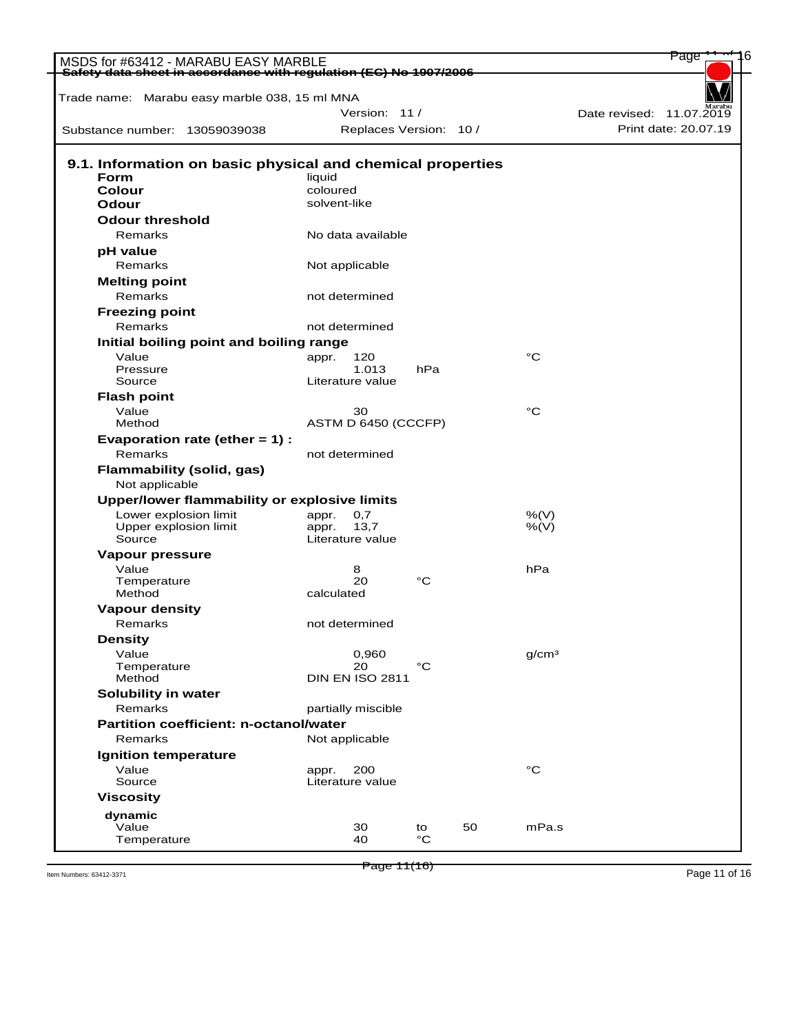| MSDS for #63412 - MARABU EASY MARBLE<br>Safety data sheet in accordance with regulation (EC) No 1907/2006 |                           |             |    |                   | Page                     |
|-----------------------------------------------------------------------------------------------------------|---------------------------|-------------|----|-------------------|--------------------------|
| Trade name: Marabu easy marble 038, 15 ml MNA                                                             |                           |             |    |                   |                          |
|                                                                                                           | Version: 11/              |             |    |                   | Date revised: 11.07.2019 |
|                                                                                                           |                           |             |    |                   | Print date: 20.07.19     |
| Substance number: 13059039038                                                                             | Replaces Version: 10 /    |             |    |                   |                          |
| 9.1. Information on basic physical and chemical properties                                                |                           |             |    |                   |                          |
| <b>Form</b>                                                                                               | liquid                    |             |    |                   |                          |
| Colour                                                                                                    | coloured                  |             |    |                   |                          |
| Odour                                                                                                     | solvent-like              |             |    |                   |                          |
| <b>Odour threshold</b>                                                                                    |                           |             |    |                   |                          |
| Remarks                                                                                                   | No data available         |             |    |                   |                          |
| pH value                                                                                                  |                           |             |    |                   |                          |
| Remarks                                                                                                   | Not applicable            |             |    |                   |                          |
| <b>Melting point</b>                                                                                      |                           |             |    |                   |                          |
| Remarks                                                                                                   | not determined            |             |    |                   |                          |
| <b>Freezing point</b>                                                                                     |                           |             |    |                   |                          |
| Remarks                                                                                                   | not determined            |             |    |                   |                          |
| Initial boiling point and boiling range                                                                   |                           |             |    |                   |                          |
| Value                                                                                                     | 120<br>appr.              |             |    | °C                |                          |
| Pressure<br>Source                                                                                        | 1.013<br>Literature value | hPa         |    |                   |                          |
|                                                                                                           |                           |             |    |                   |                          |
| <b>Flash point</b>                                                                                        |                           |             |    | °C                |                          |
| Value<br>Method                                                                                           | 30<br>ASTM D 6450 (CCCFP) |             |    |                   |                          |
| Evaporation rate (ether $= 1$ ) :                                                                         |                           |             |    |                   |                          |
| Remarks                                                                                                   | not determined            |             |    |                   |                          |
| Flammability (solid, gas)<br>Not applicable                                                               |                           |             |    |                   |                          |
| Upper/lower flammability or explosive limits                                                              |                           |             |    |                   |                          |
| Lower explosion limit                                                                                     | 0,7<br>appr.              |             |    | %(V)              |                          |
| Upper explosion limit                                                                                     | 13,7<br>appr.             |             |    | %(V)              |                          |
| Source                                                                                                    | Literature value          |             |    |                   |                          |
| Vapour pressure                                                                                           |                           |             |    |                   |                          |
| Value                                                                                                     | 8                         |             |    | hPa               |                          |
| Temperature<br>Method                                                                                     | 20<br>calculated          | °C          |    |                   |                          |
| <b>Vapour density</b>                                                                                     |                           |             |    |                   |                          |
| Remarks                                                                                                   | not determined            |             |    |                   |                          |
| <b>Density</b>                                                                                            |                           |             |    |                   |                          |
| Value                                                                                                     | 0,960                     |             |    | q/cm <sup>3</sup> |                          |
| Temperature                                                                                               | 20                        | $^{\circ}C$ |    |                   |                          |
| Method                                                                                                    | <b>DIN EN ISO 2811</b>    |             |    |                   |                          |
| Solubility in water                                                                                       |                           |             |    |                   |                          |
| Remarks                                                                                                   | partially miscible        |             |    |                   |                          |
| Partition coefficient: n-octanol/water                                                                    |                           |             |    |                   |                          |
| Remarks                                                                                                   | Not applicable            |             |    |                   |                          |
| <b>Ignition temperature</b>                                                                               |                           |             |    |                   |                          |
| Value                                                                                                     | 200<br>appr.              |             |    | °C                |                          |
| Source                                                                                                    | Literature value          |             |    |                   |                          |
| <b>Viscosity</b>                                                                                          |                           |             |    |                   |                          |
| dynamic<br>Value                                                                                          |                           |             |    |                   |                          |
|                                                                                                           | 30                        | to          | 50 | mPa.s             |                          |

Page 11(16)

Item Numbers: 63412-3371 Page 11 (16)<br>Item Numbers: 63412-3371 Page 11 of 16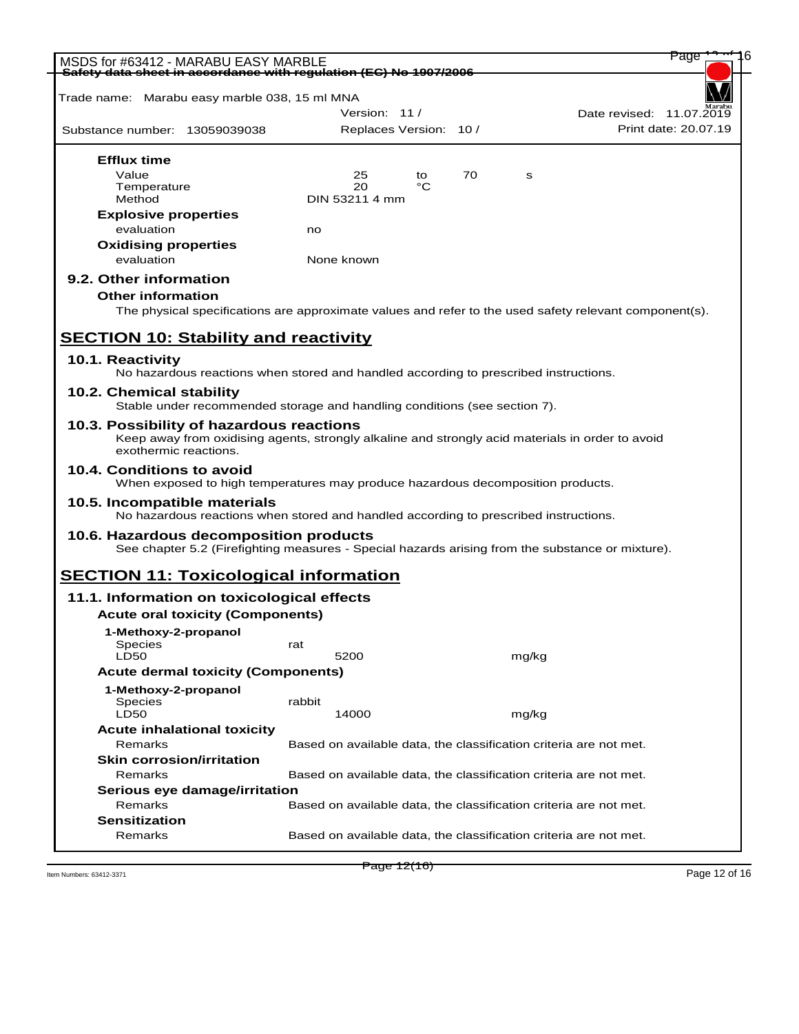| MSDS for #63412 - MARABU EASY MARBLE                                                                                                                                  |            |                        |    |    |       | Page                                                              |
|-----------------------------------------------------------------------------------------------------------------------------------------------------------------------|------------|------------------------|----|----|-------|-------------------------------------------------------------------|
| Safety data sheet in accordance with regulation (EC) No 1907/2006                                                                                                     |            |                        |    |    |       |                                                                   |
| Trade name: Marabu easy marble 038, 15 ml MNA                                                                                                                         |            |                        |    |    |       |                                                                   |
|                                                                                                                                                                       |            | Version: 11/           |    |    |       | Date revised: 11.07.2019                                          |
| Substance number: 13059039038                                                                                                                                         |            | Replaces Version: 10 / |    |    |       | Print date: 20.07.19                                              |
| <b>Efflux time</b>                                                                                                                                                    |            |                        |    |    |       |                                                                   |
| Value                                                                                                                                                                 |            | 25                     | to | 70 | s     |                                                                   |
| Temperature                                                                                                                                                           |            | 20                     | °C |    |       |                                                                   |
| Method                                                                                                                                                                |            | DIN 53211 4 mm         |    |    |       |                                                                   |
| <b>Explosive properties</b>                                                                                                                                           |            |                        |    |    |       |                                                                   |
| evaluation                                                                                                                                                            | no         |                        |    |    |       |                                                                   |
| <b>Oxidising properties</b>                                                                                                                                           |            |                        |    |    |       |                                                                   |
| evaluation                                                                                                                                                            | None known |                        |    |    |       |                                                                   |
| 9.2. Other information                                                                                                                                                |            |                        |    |    |       |                                                                   |
| <b>Other information</b>                                                                                                                                              |            |                        |    |    |       |                                                                   |
|                                                                                                                                                                       |            |                        |    |    |       |                                                                   |
| The physical specifications are approximate values and refer to the used safety relevant component(s).                                                                |            |                        |    |    |       |                                                                   |
| <b>SECTION 10: Stability and reactivity</b>                                                                                                                           |            |                        |    |    |       |                                                                   |
|                                                                                                                                                                       |            |                        |    |    |       |                                                                   |
| 10.1. Reactivity                                                                                                                                                      |            |                        |    |    |       |                                                                   |
| No hazardous reactions when stored and handled according to prescribed instructions.                                                                                  |            |                        |    |    |       |                                                                   |
| 10.2. Chemical stability<br>Stable under recommended storage and handling conditions (see section 7).                                                                 |            |                        |    |    |       |                                                                   |
|                                                                                                                                                                       |            |                        |    |    |       |                                                                   |
| 10.3. Possibility of hazardous reactions<br>Keep away from oxidising agents, strongly alkaline and strongly acid materials in order to avoid<br>exothermic reactions. |            |                        |    |    |       |                                                                   |
| 10.4. Conditions to avoid<br>When exposed to high temperatures may produce hazardous decomposition products.                                                          |            |                        |    |    |       |                                                                   |
| 10.5. Incompatible materials<br>No hazardous reactions when stored and handled according to prescribed instructions.                                                  |            |                        |    |    |       |                                                                   |
| 10.6. Hazardous decomposition products                                                                                                                                |            |                        |    |    |       |                                                                   |
| See chapter 5.2 (Firefighting measures - Special hazards arising from the substance or mixture).                                                                      |            |                        |    |    |       |                                                                   |
|                                                                                                                                                                       |            |                        |    |    |       |                                                                   |
| <b>SECTION 11: Toxicological information</b>                                                                                                                          |            |                        |    |    |       |                                                                   |
| 11.1. Information on toxicological effects                                                                                                                            |            |                        |    |    |       |                                                                   |
| <b>Acute oral toxicity (Components)</b>                                                                                                                               |            |                        |    |    |       |                                                                   |
| 1-Methoxy-2-propanol                                                                                                                                                  |            |                        |    |    |       |                                                                   |
| Species                                                                                                                                                               | rat        |                        |    |    |       |                                                                   |
| <b>LD50</b>                                                                                                                                                           |            | 5200                   |    |    | mg/kg |                                                                   |
| <b>Acute dermal toxicity (Components)</b>                                                                                                                             |            |                        |    |    |       |                                                                   |
| 1-Methoxy-2-propanol                                                                                                                                                  |            |                        |    |    |       |                                                                   |
| Species                                                                                                                                                               | rabbit     |                        |    |    |       |                                                                   |
| <b>LD50</b>                                                                                                                                                           |            | 14000                  |    |    | mg/kg |                                                                   |
| <b>Acute inhalational toxicity</b>                                                                                                                                    |            |                        |    |    |       |                                                                   |
| Remarks                                                                                                                                                               |            |                        |    |    |       | Based on available data, the classification criteria are not met. |
| <b>Skin corrosion/irritation</b>                                                                                                                                      |            |                        |    |    |       |                                                                   |
| Remarks                                                                                                                                                               |            |                        |    |    |       | Based on available data, the classification criteria are not met. |
|                                                                                                                                                                       |            |                        |    |    |       |                                                                   |
| Serious eye damage/irritation<br>Remarks                                                                                                                              |            |                        |    |    |       |                                                                   |
|                                                                                                                                                                       |            |                        |    |    |       | Based on available data, the classification criteria are not met. |
| <b>Sensitization</b>                                                                                                                                                  |            |                        |    |    |       |                                                                   |
| Remarks                                                                                                                                                               |            |                        |    |    |       | Based on available data, the classification criteria are not met. |

 $P \text{age 12} (16)$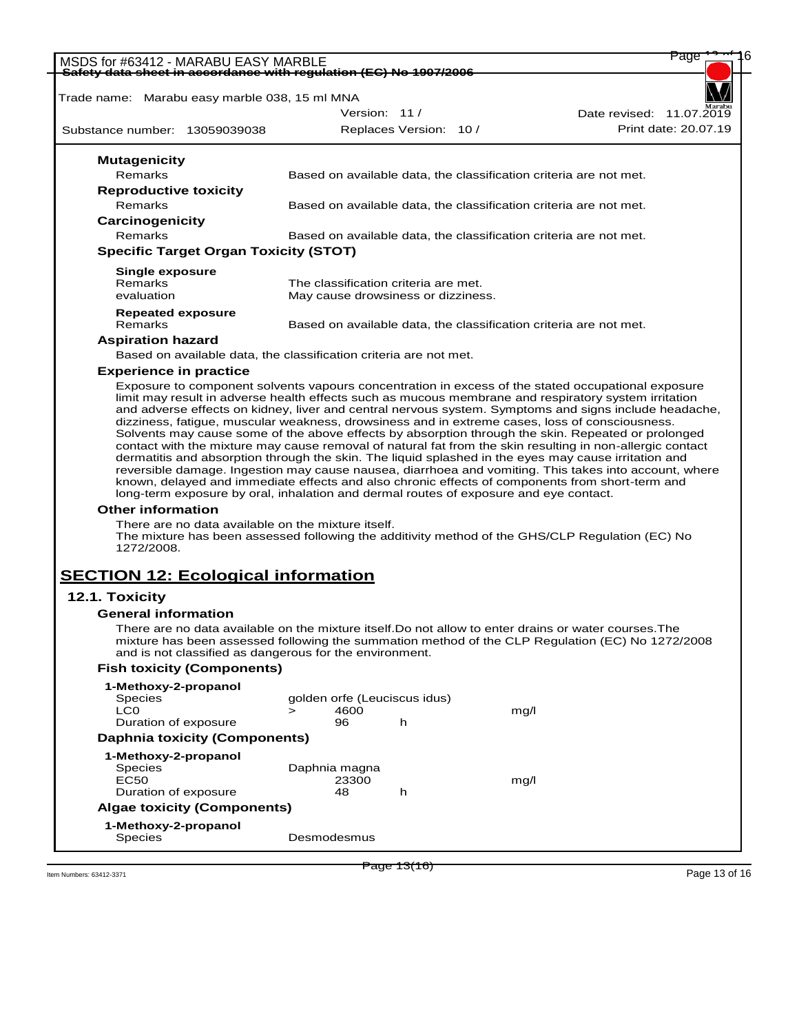| MSDS for #63412 - MARABU EASY MARBLE<br>Safety data sheet in accordance with requlation (EC) No 1907/2006 |                                              |                                                                                                                                             |                                      |      | Page                                                                                                                                                                                                                                                                                                                                                                                                                |
|-----------------------------------------------------------------------------------------------------------|----------------------------------------------|---------------------------------------------------------------------------------------------------------------------------------------------|--------------------------------------|------|---------------------------------------------------------------------------------------------------------------------------------------------------------------------------------------------------------------------------------------------------------------------------------------------------------------------------------------------------------------------------------------------------------------------|
|                                                                                                           |                                              |                                                                                                                                             |                                      |      |                                                                                                                                                                                                                                                                                                                                                                                                                     |
| Trade name: Marabu easy marble 038, 15 ml MNA                                                             |                                              |                                                                                                                                             |                                      |      |                                                                                                                                                                                                                                                                                                                                                                                                                     |
|                                                                                                           |                                              |                                                                                                                                             | Version: 11 /                        |      | Date revised: 11.07.2019                                                                                                                                                                                                                                                                                                                                                                                            |
| Substance number: 13059039038                                                                             |                                              |                                                                                                                                             | Replaces Version: 10 /               |      | Print date: 20.07.19                                                                                                                                                                                                                                                                                                                                                                                                |
| <b>Mutagenicity</b>                                                                                       |                                              |                                                                                                                                             |                                      |      |                                                                                                                                                                                                                                                                                                                                                                                                                     |
| Remarks                                                                                                   |                                              |                                                                                                                                             |                                      |      | Based on available data, the classification criteria are not met.                                                                                                                                                                                                                                                                                                                                                   |
| <b>Reproductive toxicity</b>                                                                              |                                              |                                                                                                                                             |                                      |      |                                                                                                                                                                                                                                                                                                                                                                                                                     |
| Remarks                                                                                                   |                                              |                                                                                                                                             |                                      |      | Based on available data, the classification criteria are not met.                                                                                                                                                                                                                                                                                                                                                   |
| Carcinogenicity                                                                                           |                                              |                                                                                                                                             |                                      |      |                                                                                                                                                                                                                                                                                                                                                                                                                     |
| <b>Remarks</b>                                                                                            |                                              |                                                                                                                                             |                                      |      | Based on available data, the classification criteria are not met.                                                                                                                                                                                                                                                                                                                                                   |
|                                                                                                           | <b>Specific Target Organ Toxicity (STOT)</b> |                                                                                                                                             |                                      |      |                                                                                                                                                                                                                                                                                                                                                                                                                     |
| <b>Single exposure</b>                                                                                    |                                              |                                                                                                                                             |                                      |      |                                                                                                                                                                                                                                                                                                                                                                                                                     |
| Remarks                                                                                                   |                                              |                                                                                                                                             | The classification criteria are met. |      |                                                                                                                                                                                                                                                                                                                                                                                                                     |
| evaluation                                                                                                |                                              |                                                                                                                                             | May cause drowsiness or dizziness.   |      |                                                                                                                                                                                                                                                                                                                                                                                                                     |
| <b>Repeated exposure</b>                                                                                  |                                              |                                                                                                                                             |                                      |      |                                                                                                                                                                                                                                                                                                                                                                                                                     |
| Remarks                                                                                                   |                                              |                                                                                                                                             |                                      |      | Based on available data, the classification criteria are not met.                                                                                                                                                                                                                                                                                                                                                   |
| <b>Aspiration hazard</b>                                                                                  |                                              |                                                                                                                                             |                                      |      |                                                                                                                                                                                                                                                                                                                                                                                                                     |
|                                                                                                           |                                              | Based on available data, the classification criteria are not met.                                                                           |                                      |      |                                                                                                                                                                                                                                                                                                                                                                                                                     |
| <b>Experience in practice</b>                                                                             |                                              |                                                                                                                                             |                                      |      |                                                                                                                                                                                                                                                                                                                                                                                                                     |
| <b>Other information</b>                                                                                  |                                              | long-term exposure by oral, inhalation and dermal routes of exposure and eye contact.<br>There are no data available on the mixture itself. |                                      |      | dermatitis and absorption through the skin. The liquid splashed in the eyes may cause irritation and<br>reversible damage. Ingestion may cause nausea, diarrhoea and vomiting. This takes into account, where<br>known, delayed and immediate effects and also chronic effects of components from short-term and<br>The mixture has been assessed following the additivity method of the GHS/CLP Regulation (EC) No |
| 1272/2008.<br><b>SECTION 12: Ecological information</b>                                                   |                                              |                                                                                                                                             |                                      |      |                                                                                                                                                                                                                                                                                                                                                                                                                     |
| 12.1. Toxicity                                                                                            |                                              |                                                                                                                                             |                                      |      |                                                                                                                                                                                                                                                                                                                                                                                                                     |
| <b>General information</b>                                                                                |                                              |                                                                                                                                             |                                      |      |                                                                                                                                                                                                                                                                                                                                                                                                                     |
|                                                                                                           |                                              | and is not classified as dangerous for the environment.                                                                                     |                                      |      | There are no data available on the mixture itself.Do not allow to enter drains or water courses.The<br>mixture has been assessed following the summation method of the CLP Regulation (EC) No 1272/2008                                                                                                                                                                                                             |
|                                                                                                           | <b>Fish toxicity (Components)</b>            |                                                                                                                                             |                                      |      |                                                                                                                                                                                                                                                                                                                                                                                                                     |
| 1-Methoxy-2-propanol<br>Species                                                                           |                                              | golden orfe (Leuciscus idus)                                                                                                                |                                      |      |                                                                                                                                                                                                                                                                                                                                                                                                                     |
| LC0                                                                                                       |                                              | 4600<br>$\geq$                                                                                                                              |                                      | mg/l |                                                                                                                                                                                                                                                                                                                                                                                                                     |
| Duration of exposure                                                                                      |                                              | 96                                                                                                                                          | h                                    |      |                                                                                                                                                                                                                                                                                                                                                                                                                     |
|                                                                                                           | <b>Daphnia toxicity (Components)</b>         |                                                                                                                                             |                                      |      |                                                                                                                                                                                                                                                                                                                                                                                                                     |
| 1-Methoxy-2-propanol                                                                                      |                                              |                                                                                                                                             |                                      |      |                                                                                                                                                                                                                                                                                                                                                                                                                     |
| Species                                                                                                   |                                              | Daphnia magna                                                                                                                               |                                      |      |                                                                                                                                                                                                                                                                                                                                                                                                                     |
| <b>EC50</b>                                                                                               |                                              | 23300                                                                                                                                       |                                      | mg/l |                                                                                                                                                                                                                                                                                                                                                                                                                     |
| Duration of exposure                                                                                      |                                              | 48                                                                                                                                          | h                                    |      |                                                                                                                                                                                                                                                                                                                                                                                                                     |
|                                                                                                           | <b>Algae toxicity (Components)</b>           |                                                                                                                                             |                                      |      |                                                                                                                                                                                                                                                                                                                                                                                                                     |
| 1-Methoxy-2-propanol                                                                                      |                                              |                                                                                                                                             |                                      |      |                                                                                                                                                                                                                                                                                                                                                                                                                     |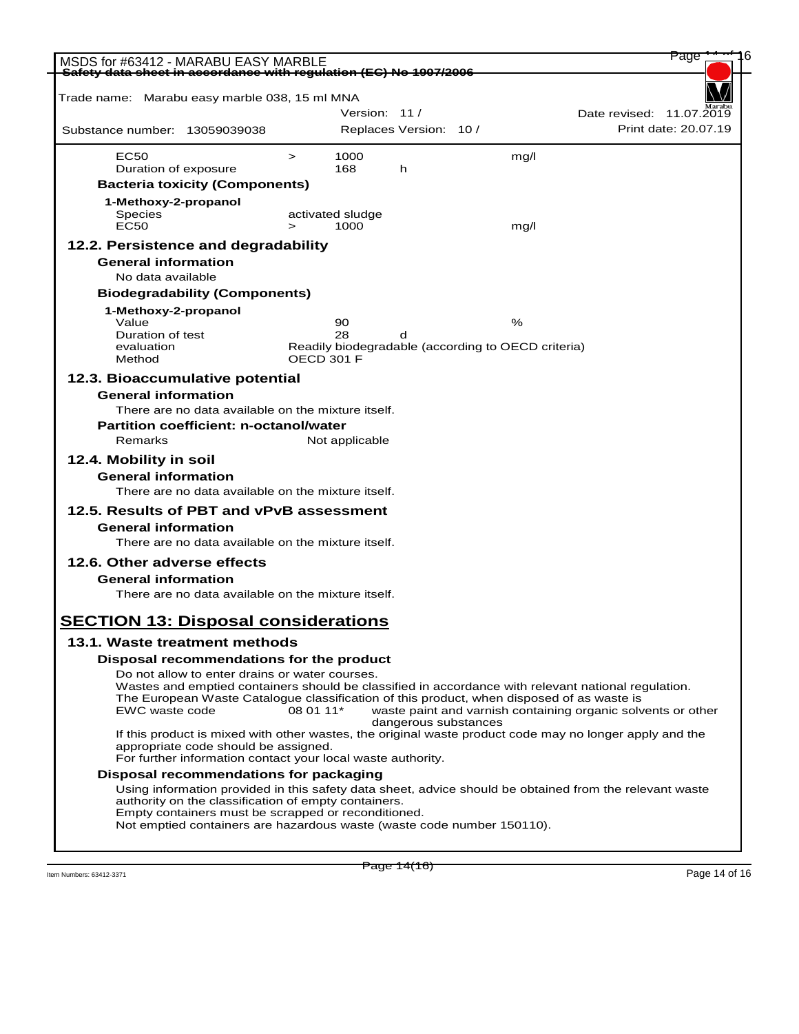| MSDS for #63412 - MARABU EASY MARBLE                                                                                          |                                    |                                                         |                      |      | Page                                                         |
|-------------------------------------------------------------------------------------------------------------------------------|------------------------------------|---------------------------------------------------------|----------------------|------|--------------------------------------------------------------|
| Safety data sheet in accordance with regulation (EC) No 1907/2006                                                             |                                    |                                                         |                      |      |                                                              |
| Trade name: Marabu easy marble 038, 15 ml MNA                                                                                 |                                    |                                                         |                      |      |                                                              |
|                                                                                                                               |                                    | Version: 11/                                            |                      |      | Date revised: 11.07.2019                                     |
| Substance number: 13059039038                                                                                                 |                                    | Replaces Version: 10 /                                  |                      |      | Print date: 20.07.19                                         |
| <b>EC50</b>                                                                                                                   | 1000<br>$\geq$                     |                                                         |                      | mq/l |                                                              |
| Duration of exposure                                                                                                          | 168                                | h                                                       |                      |      |                                                              |
| <b>Bacteria toxicity (Components)</b>                                                                                         |                                    |                                                         |                      |      |                                                              |
| 1-Methoxy-2-propanol                                                                                                          |                                    |                                                         |                      |      |                                                              |
| <b>Species</b><br><b>EC50</b>                                                                                                 | activated sludge<br>1000<br>$\geq$ |                                                         |                      | mg/l |                                                              |
| 12.2. Persistence and degradability                                                                                           |                                    |                                                         |                      |      |                                                              |
| <b>General information</b>                                                                                                    |                                    |                                                         |                      |      |                                                              |
| No data available                                                                                                             |                                    |                                                         |                      |      |                                                              |
| <b>Biodegradability (Components)</b>                                                                                          |                                    |                                                         |                      |      |                                                              |
| 1-Methoxy-2-propanol                                                                                                          |                                    |                                                         |                      |      |                                                              |
| Value                                                                                                                         | 90                                 |                                                         |                      | %    |                                                              |
| Duration of test<br>evaluation                                                                                                | 28                                 | d<br>Readily biodegradable (according to OECD criteria) |                      |      |                                                              |
| Method                                                                                                                        | OECD 301 F                         |                                                         |                      |      |                                                              |
| 12.3. Bioaccumulative potential                                                                                               |                                    |                                                         |                      |      |                                                              |
| <b>General information</b>                                                                                                    |                                    |                                                         |                      |      |                                                              |
| There are no data available on the mixture itself.                                                                            |                                    |                                                         |                      |      |                                                              |
| Partition coefficient: n-octanol/water                                                                                        |                                    |                                                         |                      |      |                                                              |
| Remarks                                                                                                                       | Not applicable                     |                                                         |                      |      |                                                              |
| 12.4. Mobility in soil                                                                                                        |                                    |                                                         |                      |      |                                                              |
| <b>General information</b>                                                                                                    |                                    |                                                         |                      |      |                                                              |
| There are no data available on the mixture itself.                                                                            |                                    |                                                         |                      |      |                                                              |
| 12.5. Results of PBT and vPvB assessment                                                                                      |                                    |                                                         |                      |      |                                                              |
| <b>General information</b>                                                                                                    |                                    |                                                         |                      |      |                                                              |
| There are no data available on the mixture itself.                                                                            |                                    |                                                         |                      |      |                                                              |
| 12.6. Other adverse effects                                                                                                   |                                    |                                                         |                      |      |                                                              |
| <b>General information</b>                                                                                                    |                                    |                                                         |                      |      |                                                              |
| There are no data available on the mixture itself.                                                                            |                                    |                                                         |                      |      |                                                              |
| <b>SECTION 13: Disposal considerations</b>                                                                                    |                                    |                                                         |                      |      |                                                              |
|                                                                                                                               |                                    |                                                         |                      |      |                                                              |
| 13.1. Waste treatment methods                                                                                                 |                                    |                                                         |                      |      |                                                              |
| Disposal recommendations for the product<br>Do not allow to enter drains or water courses.                                    |                                    |                                                         |                      |      |                                                              |
| Wastes and emptied containers should be classified in accordance with relevant national regulation.                           |                                    |                                                         |                      |      |                                                              |
| The European Waste Catalogue classification of this product, when disposed of as waste is                                     |                                    |                                                         |                      |      |                                                              |
| EWC waste code                                                                                                                | 08 01 11*                          |                                                         | dangerous substances |      | waste paint and varnish containing organic solvents or other |
| If this product is mixed with other wastes, the original waste product code may no longer apply and the                       |                                    |                                                         |                      |      |                                                              |
| appropriate code should be assigned.<br>For further information contact your local waste authority.                           |                                    |                                                         |                      |      |                                                              |
| Disposal recommendations for packaging                                                                                        |                                    |                                                         |                      |      |                                                              |
| Using information provided in this safety data sheet, advice should be obtained from the relevant waste                       |                                    |                                                         |                      |      |                                                              |
| authority on the classification of empty containers.                                                                          |                                    |                                                         |                      |      |                                                              |
| Empty containers must be scrapped or reconditioned.<br>Not emptied containers are hazardous waste (waste code number 150110). |                                    |                                                         |                      |      |                                                              |
|                                                                                                                               |                                    |                                                         |                      |      |                                                              |
|                                                                                                                               |                                    |                                                         |                      |      |                                                              |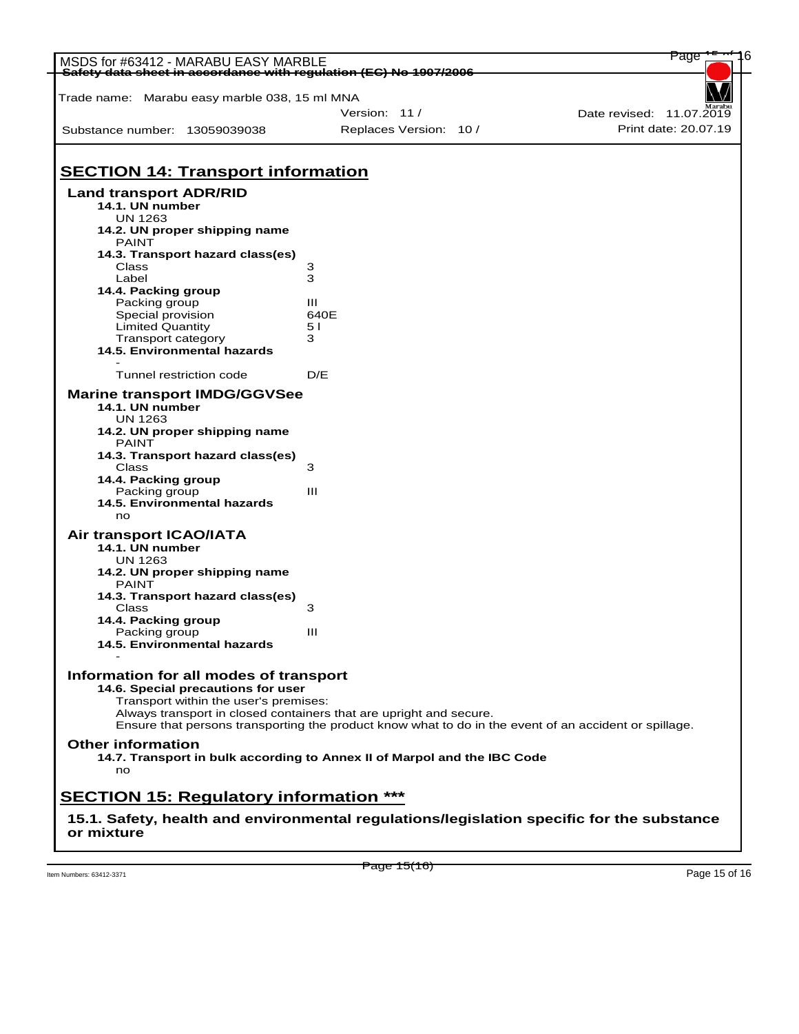| MSDS for #63412 - MARABU EASY MARBLE<br>Safety data sheet in accordance with regulation (EC) No 1907/2006 |                                                                                                                                                                             |                          |  |
|-----------------------------------------------------------------------------------------------------------|-----------------------------------------------------------------------------------------------------------------------------------------------------------------------------|--------------------------|--|
| Trade name: Marabu easy marble 038, 15 ml MNA                                                             |                                                                                                                                                                             |                          |  |
|                                                                                                           | Version: 11/                                                                                                                                                                | Date revised: 11.07.2019 |  |
| Substance number: 13059039038                                                                             | Replaces Version: 10 /                                                                                                                                                      | Print date: 20.07.19     |  |
|                                                                                                           |                                                                                                                                                                             |                          |  |
| <b>SECTION 14: Transport information</b>                                                                  |                                                                                                                                                                             |                          |  |
| <b>Land transport ADR/RID</b><br>14.1. UN number<br><b>UN 1263</b>                                        |                                                                                                                                                                             |                          |  |
| 14.2. UN proper shipping name<br><b>PAINT</b>                                                             |                                                                                                                                                                             |                          |  |
| 14.3. Transport hazard class(es)                                                                          |                                                                                                                                                                             |                          |  |
| Class                                                                                                     | 3                                                                                                                                                                           |                          |  |
| Label                                                                                                     | 3                                                                                                                                                                           |                          |  |
| 14.4. Packing group<br>Packing group                                                                      | Ш                                                                                                                                                                           |                          |  |
| Special provision                                                                                         | 640E                                                                                                                                                                        |                          |  |
| Limited Quantity                                                                                          | 5 I                                                                                                                                                                         |                          |  |
| Transport category                                                                                        | 3                                                                                                                                                                           |                          |  |
| 14.5. Environmental hazards                                                                               |                                                                                                                                                                             |                          |  |
| Tunnel restriction code                                                                                   | D/E                                                                                                                                                                         |                          |  |
| <b>Marine transport IMDG/GGVSee</b><br>14.1. UN number<br><b>UN 1263</b>                                  |                                                                                                                                                                             |                          |  |
| 14.2. UN proper shipping name<br><b>PAINT</b>                                                             |                                                                                                                                                                             |                          |  |
| 14.3. Transport hazard class(es)                                                                          |                                                                                                                                                                             |                          |  |
| Class                                                                                                     | 3                                                                                                                                                                           |                          |  |
| 14.4. Packing group                                                                                       |                                                                                                                                                                             |                          |  |
| Packing group                                                                                             | Ш                                                                                                                                                                           |                          |  |
| 14.5. Environmental hazards<br>no                                                                         |                                                                                                                                                                             |                          |  |
| Air transport ICAO/IATA                                                                                   |                                                                                                                                                                             |                          |  |
| 14.1. UN number<br><b>UN 1263</b>                                                                         |                                                                                                                                                                             |                          |  |
| 14.2. UN proper shipping name<br><b>PAINT</b>                                                             |                                                                                                                                                                             |                          |  |
| 14.3. Transport hazard class(es)                                                                          |                                                                                                                                                                             |                          |  |
| Class                                                                                                     | 3                                                                                                                                                                           |                          |  |
| 14.4. Packing group                                                                                       |                                                                                                                                                                             |                          |  |
| Packing group                                                                                             | Ш                                                                                                                                                                           |                          |  |
| 14.5. Environmental hazards                                                                               |                                                                                                                                                                             |                          |  |
| Information for all modes of transport                                                                    |                                                                                                                                                                             |                          |  |
| 14.6. Special precautions for user                                                                        |                                                                                                                                                                             |                          |  |
| Transport within the user's premises:                                                                     |                                                                                                                                                                             |                          |  |
|                                                                                                           | Always transport in closed containers that are upright and secure.<br>Ensure that persons transporting the product know what to do in the event of an accident or spillage. |                          |  |
| <b>Other information</b>                                                                                  |                                                                                                                                                                             |                          |  |
| no                                                                                                        | 14.7. Transport in bulk according to Annex II of Marpol and the IBC Code                                                                                                    |                          |  |
| <b>SECTION 15: Regulatory information ***</b>                                                             |                                                                                                                                                                             |                          |  |
| 15.1. Safety, health and environmental regulations/legislation specific for the substance                 |                                                                                                                                                                             |                          |  |
| or mixture                                                                                                |                                                                                                                                                                             |                          |  |

Them Numbers: 63412-3371 **Page 15 of 16 Page 15 of 16 Page 15** of 16